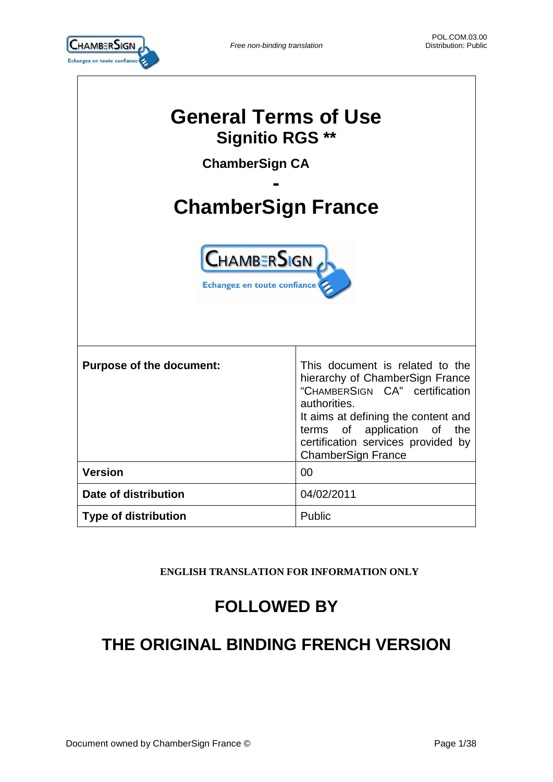

| <b>General Terms of Use</b><br><b>Signitio RGS **</b><br><b>ChamberSign CA</b><br><b>ChamberSign France</b><br><b>CHAMBERSIGN</b><br>Echangez en toute confiance |                                                                                                                                                                                                                                                               |  |  |
|------------------------------------------------------------------------------------------------------------------------------------------------------------------|---------------------------------------------------------------------------------------------------------------------------------------------------------------------------------------------------------------------------------------------------------------|--|--|
| <b>Purpose of the document:</b>                                                                                                                                  | This document is related to the<br>hierarchy of ChamberSign France<br>"CHAMBERSIGN CA" certification<br>authorities.<br>It aims at defining the content and<br>terms of application of the<br>certification services provided by<br><b>ChamberSign France</b> |  |  |
| <b>Version</b>                                                                                                                                                   | 00                                                                                                                                                                                                                                                            |  |  |
| Date of distribution                                                                                                                                             | 04/02/2011                                                                                                                                                                                                                                                    |  |  |
| <b>Type of distribution</b>                                                                                                                                      | Public                                                                                                                                                                                                                                                        |  |  |

# **ENGLISH TRANSLATION FOR INFORMATION ONLY**

# **FOLLOWED BY**

# **THE ORIGINAL BINDING FRENCH VERSION**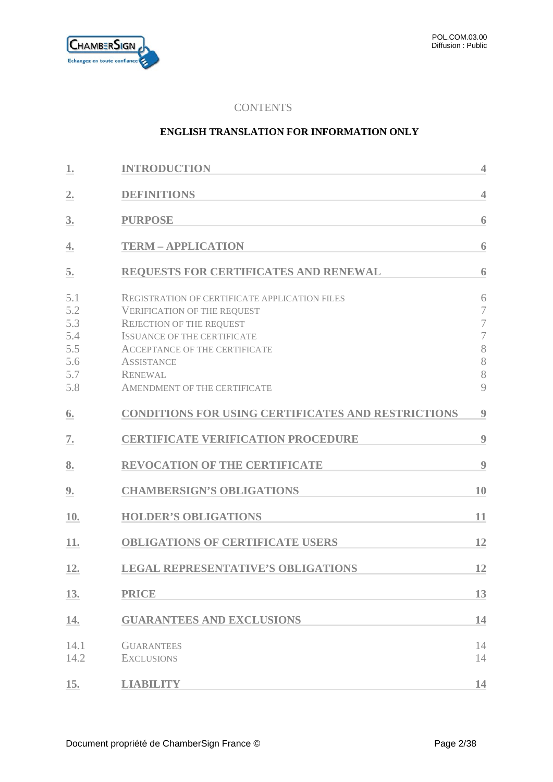

# **CONTENTS**

### **ENGLISH TRANSLATION FOR INFORMATION ONLY**

| 1.                                                   | <b>INTRODUCTION</b>                                                                                                                                                                                                                                                                       | $\overline{\mathcal{L}}$                                                 |
|------------------------------------------------------|-------------------------------------------------------------------------------------------------------------------------------------------------------------------------------------------------------------------------------------------------------------------------------------------|--------------------------------------------------------------------------|
| 2.                                                   | <b>DEFINITIONS</b>                                                                                                                                                                                                                                                                        | $\overline{4}$                                                           |
| 3.                                                   | <b>PURPOSE</b>                                                                                                                                                                                                                                                                            | 6                                                                        |
| 4.                                                   | <b>TERM - APPLICATION</b>                                                                                                                                                                                                                                                                 | 6                                                                        |
| 5.                                                   | <b>REQUESTS FOR CERTIFICATES AND RENEWAL</b>                                                                                                                                                                                                                                              | 6                                                                        |
| 5.1<br>5.2<br>5.3<br>5.4<br>5.5<br>5.6<br>5.7<br>5.8 | <b>REGISTRATION OF CERTIFICATE APPLICATION FILES</b><br><b>VERIFICATION OF THE REQUEST</b><br><b>REJECTION OF THE REQUEST</b><br><b>ISSUANCE OF THE CERTIFICATE</b><br><b>ACCEPTANCE OF THE CERTIFICATE</b><br><b>ASSISTANCE</b><br><b>RENEWAL</b><br><b>AMENDMENT OF THE CERTIFICATE</b> | 6<br>7<br>$\overline{7}$<br>$\overline{\mathcal{I}}$<br>8<br>8<br>8<br>9 |
| 6.                                                   | <b>CONDITIONS FOR USING CERTIFICATES AND RESTRICTIONS</b>                                                                                                                                                                                                                                 | 9                                                                        |
| 7.                                                   | <b>CERTIFICATE VERIFICATION PROCEDURE</b>                                                                                                                                                                                                                                                 | 9                                                                        |
| 8.                                                   | <b>REVOCATION OF THE CERTIFICATE</b>                                                                                                                                                                                                                                                      | 9                                                                        |
| 9.                                                   | <b>CHAMBERSIGN'S OBLIGATIONS</b>                                                                                                                                                                                                                                                          | 10                                                                       |
| 10.                                                  | <b>HOLDER'S OBLIGATIONS</b>                                                                                                                                                                                                                                                               | 11                                                                       |
| 11.                                                  | <b>OBLIGATIONS OF CERTIFICATE USERS</b>                                                                                                                                                                                                                                                   | 12                                                                       |
| 12.                                                  | <b>LEGAL REPRESENTATIVE'S OBLIGATIONS</b>                                                                                                                                                                                                                                                 | 12                                                                       |
| 13.                                                  | <b>PRICE</b>                                                                                                                                                                                                                                                                              | 13                                                                       |
| 14.                                                  | <b>GUARANTEES AND EXCLUSIONS</b>                                                                                                                                                                                                                                                          | 14                                                                       |
| 14.1<br>14.2                                         | <b>GUARANTEES</b><br><b>EXCLUSIONS</b>                                                                                                                                                                                                                                                    | 14<br>14                                                                 |
| 15.                                                  | <b>LIABILITY</b>                                                                                                                                                                                                                                                                          | 14                                                                       |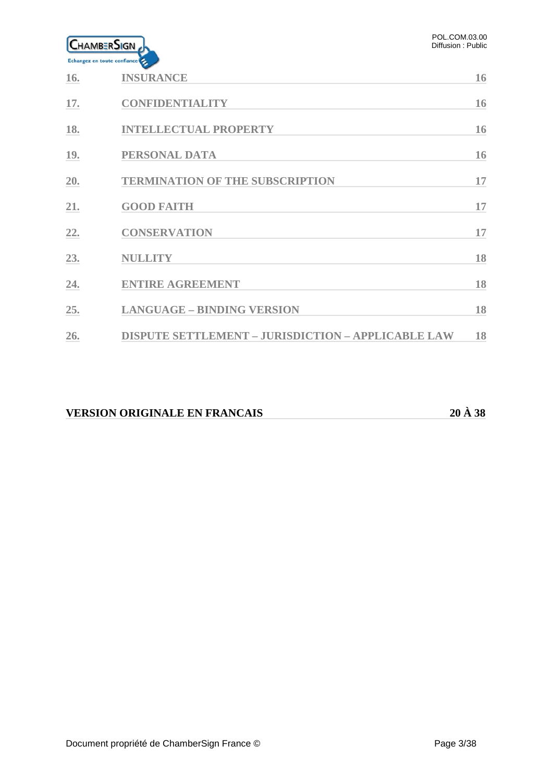

| <b>16.</b> | <b>INSURANCE</b>                                          | 16 |
|------------|-----------------------------------------------------------|----|
| 17.        | <b>CONFIDENTIALITY</b>                                    | 16 |
| 18.        | <b>INTELLECTUAL PROPERTY</b>                              | 16 |
| <b>19.</b> | PERSONAL DATA                                             | 16 |
| 20.        | <b>TERMINATION OF THE SUBSCRIPTION</b>                    | 17 |
| 21.        | <b>GOOD FAITH</b>                                         | 17 |
| 22.        | <b>CONSERVATION</b>                                       | 17 |
| 23.        | <b>NULLITY</b>                                            | 18 |
| 24.        | <b>ENTIRE AGREEMENT</b>                                   | 18 |
| 25.        | <b>LANGUAGE - BINDING VERSION</b>                         | 18 |
| 26.        | <b>DISPUTE SETTLEMENT - JURISDICTION - APPLICABLE LAW</b> | 18 |

# **VERSION ORIGINALE EN FRANCAIS 20 À 38**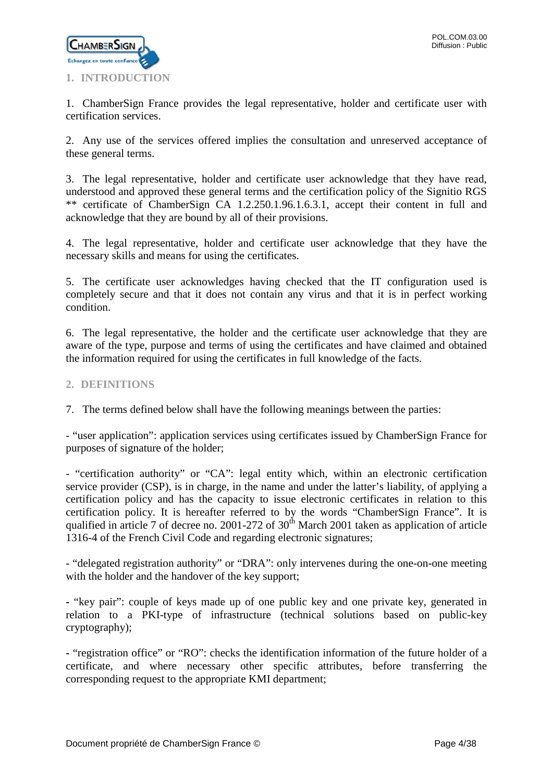

<span id="page-3-0"></span>1. ChamberSign France provides the legal representative, holder and certificate user with certification services.

2. Any use of the services offered implies the consultation and unreserved acceptance of these general terms.

3. The legal representative, holder and certificate user acknowledge that they have read, understood and approved these general terms and the certification policy of the Signitio RGS \*\* certificate of ChamberSign CA 1.2.250.1.96.1.6.3.1, accept their content in full and acknowledge that they are bound by all of their provisions.

4. The legal representative, holder and certificate user acknowledge that they have the necessary skills and means for using the certificates.

5. The certificate user acknowledges having checked that the IT configuration used is completely secure and that it does not contain any virus and that it is in perfect working condition.

6. The legal representative, the holder and the certificate user acknowledge that they are aware of the type, purpose and terms of using the certificates and have claimed and obtained the information required for using the certificates in full knowledge of the facts.

# <span id="page-3-1"></span>**2. DEFINITIONS**

7. The terms defined below shall have the following meanings between the parties:

- "user application": application services using certificates issued by ChamberSign France for purposes of signature of the holder;

- "certification authority" or "CA": legal entity which, within an electronic certification service provider (CSP), is in charge, in the name and under the latter's liability, of applying a certification policy and has the capacity to issue electronic certificates in relation to this certification policy. It is hereafter referred to by the words "ChamberSign France". It is qualified in article 7 of decree no. 2001-272 of 30<sup>th</sup> March 2001 taken as application of article 1316-4 of the French Civil Code and regarding electronic signatures;

- "delegated registration authority" or "DRA": only intervenes during the one-on-one meeting with the holder and the handover of the key support;

**-** "key pair": couple of keys made up of one public key and one private key, generated in relation to a PKI-type of infrastructure (technical solutions based on public-key cryptography);

**-** "registration office" or "RO": checks the identification information of the future holder of a certificate, and where necessary other specific attributes, before transferring the corresponding request to the appropriate KMI department;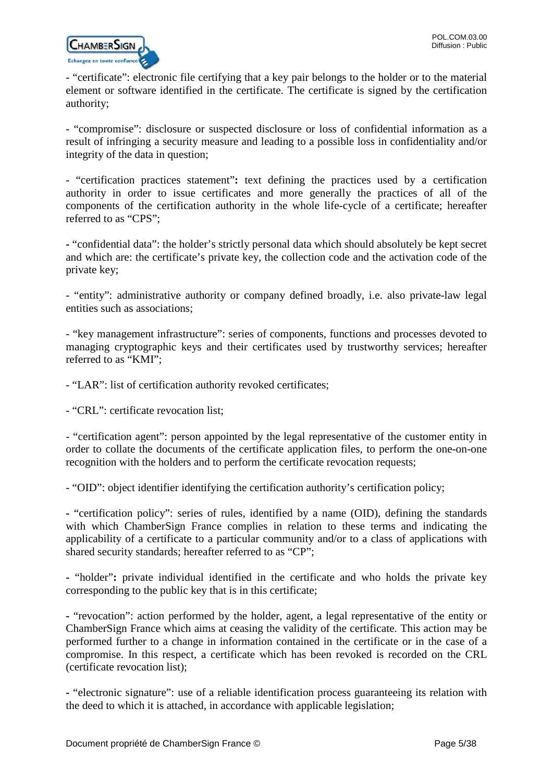

- "certificate": electronic file certifying that a key pair belongs to the holder or to the material element or software identified in the certificate. The certificate is signed by the certification authority;

- "compromise": disclosure or suspected disclosure or loss of confidential information as a result of infringing a security measure and leading to a possible loss in confidentiality and/or integrity of the data in question;

- "certification practices statement"**:** text defining the practices used by a certification authority in order to issue certificates and more generally the practices of all of the components of the certification authority in the whole life-cycle of a certificate; hereafter referred to as "CPS";

**-** "confidential data": the holder's strictly personal data which should absolutely be kept secret and which are: the certificate's private key, the collection code and the activation code of the private key;

- "entity": administrative authority or company defined broadly, i.e. also private-law legal entities such as associations;

- "key management infrastructure": series of components, functions and processes devoted to managing cryptographic keys and their certificates used by trustworthy services; hereafter referred to as "KMI";

- "LAR": list of certification authority revoked certificates;

- "CRL": certificate revocation list;

- "certification agent": person appointed by the legal representative of the customer entity in order to collate the documents of the certificate application files, to perform the one-on-one recognition with the holders and to perform the certificate revocation requests;

- "OID": object identifier identifying the certification authority's certification policy;

**-** "certification policy": series of rules, identified by a name (OID), defining the standards with which ChamberSign France complies in relation to these terms and indicating the applicability of a certificate to a particular community and/or to a class of applications with shared security standards; hereafter referred to as "CP";

**-** "holder"**:** private individual identified in the certificate and who holds the private key corresponding to the public key that is in this certificate;

**-** "revocation": action performed by the holder, agent, a legal representative of the entity or ChamberSign France which aims at ceasing the validity of the certificate. This action may be performed further to a change in information contained in the certificate or in the case of a compromise. In this respect, a certificate which has been revoked is recorded on the CRL (certificate revocation list);

**-** "electronic signature": use of a reliable identification process guaranteeing its relation with the deed to which it is attached, in accordance with applicable legislation;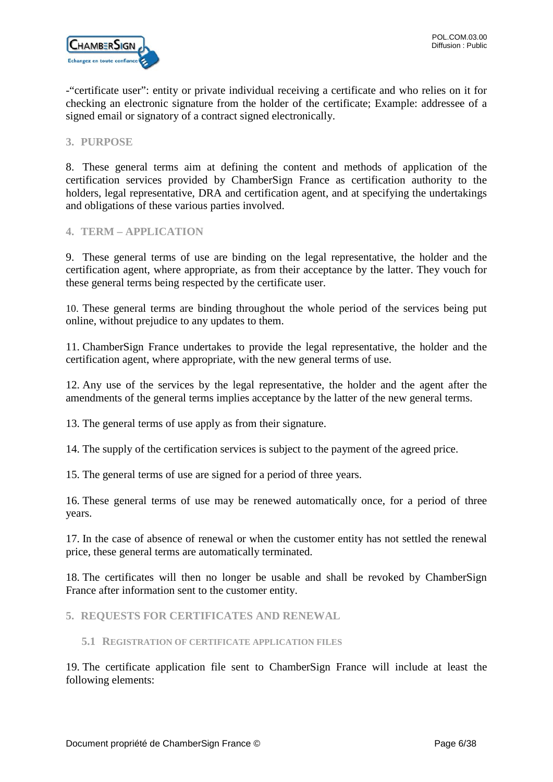-"certificate user": entity or private individual receiving a certificate and who relies on it for checking an electronic signature from the holder of the certificate; Example: addressee of a signed email or signatory of a contract signed electronically.

### <span id="page-5-0"></span>**3. PURPOSE**

8. These general terms aim at defining the content and methods of application of the certification services provided by ChamberSign France as certification authority to the holders, legal representative, DRA and certification agent, and at specifying the undertakings and obligations of these various parties involved.

### <span id="page-5-1"></span>**4. TERM – APPLICATION**

9. These general terms of use are binding on the legal representative, the holder and the certification agent, where appropriate, as from their acceptance by the latter. They vouch for these general terms being respected by the certificate user.

10. These general terms are binding throughout the whole period of the services being put online, without prejudice to any updates to them.

11. ChamberSign France undertakes to provide the legal representative, the holder and the certification agent, where appropriate, with the new general terms of use.

12. Any use of the services by the legal representative, the holder and the agent after the amendments of the general terms implies acceptance by the latter of the new general terms.

13. The general terms of use apply as from their signature.

14. The supply of the certification services is subject to the payment of the agreed price.

15. The general terms of use are signed for a period of three years.

16. These general terms of use may be renewed automatically once, for a period of three years.

17. In the case of absence of renewal or when the customer entity has not settled the renewal price, these general terms are automatically terminated.

18. The certificates will then no longer be usable and shall be revoked by ChamberSign France after information sent to the customer entity.

<span id="page-5-2"></span>**5. REQUESTS FOR CERTIFICATES AND RENEWAL**

<span id="page-5-3"></span>**5.1 REGISTRATION OF CERTIFICATE APPLICATION FILES**

19. The certificate application file sent to ChamberSign France will include at least the following elements: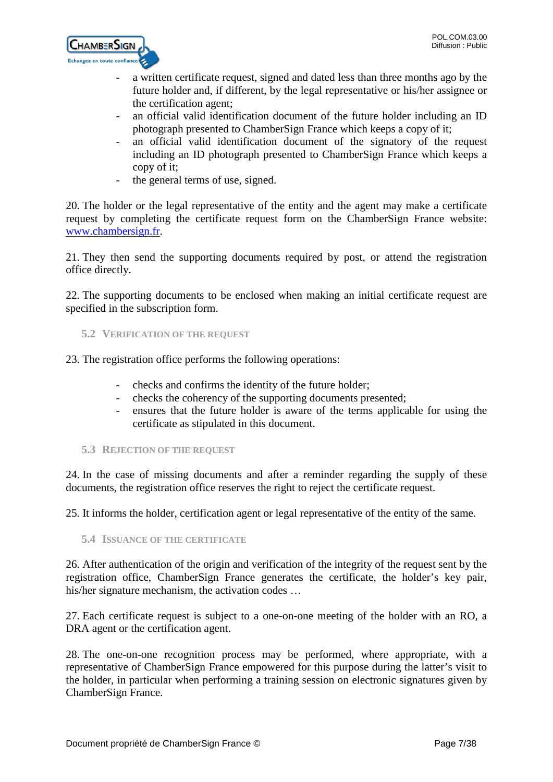

- a written certificate request, signed and dated less than three months ago by the future holder and, if different, by the legal representative or his/her assignee or the certification agent;
- an official valid identification document of the future holder including an ID photograph presented to ChamberSign France which keeps a copy of it;
- an official valid identification document of the signatory of the request including an ID photograph presented to ChamberSign France which keeps a copy of it;
- the general terms of use, signed.

20. The holder or the legal representative of the entity and the agent may make a certificate request by completing the certificate request form on the ChamberSign France website: [www.chambersign.fr.](http://www.chambersign.fr/)

21. They then send the supporting documents required by post, or attend the registration office directly.

22. The supporting documents to be enclosed when making an initial certificate request are specified in the subscription form.

<span id="page-6-0"></span>**5.2 VERIFICATION OF THE REQUEST**

23. The registration office performs the following operations:

- checks and confirms the identity of the future holder;
- checks the coherency of the supporting documents presented;
- ensures that the future holder is aware of the terms applicable for using the certificate as stipulated in this document.
- <span id="page-6-1"></span>**5.3 REJECTION OF THE REQUEST**

24. In the case of missing documents and after a reminder regarding the supply of these documents, the registration office reserves the right to reject the certificate request.

25. It informs the holder, certification agent or legal representative of the entity of the same.

<span id="page-6-2"></span>**5.4 ISSUANCE OF THE CERTIFICATE**

26. After authentication of the origin and verification of the integrity of the request sent by the registration office, ChamberSign France generates the certificate, the holder's key pair, his/her signature mechanism, the activation codes ...

27. Each certificate request is subject to a one-on-one meeting of the holder with an RO, a DRA agent or the certification agent.

28. The one-on-one recognition process may be performed, where appropriate, with a representative of ChamberSign France empowered for this purpose during the latter's visit to the holder, in particular when performing a training session on electronic signatures given by ChamberSign France.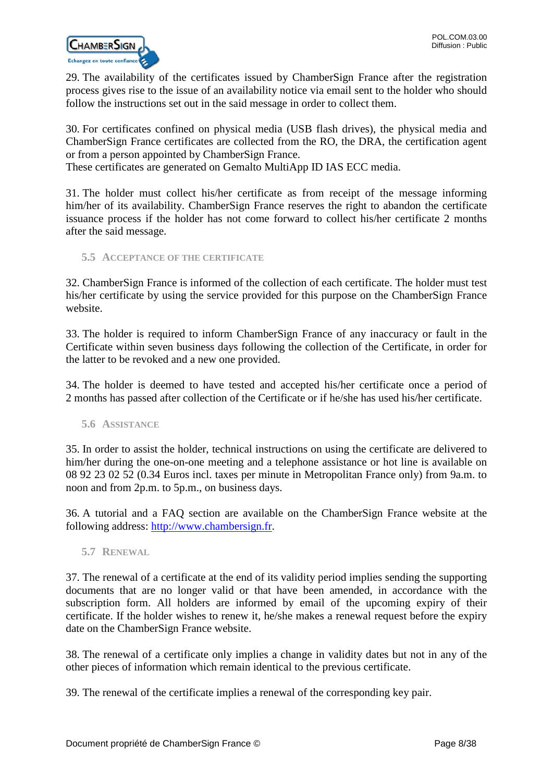

29. The availability of the certificates issued by ChamberSign France after the registration process gives rise to the issue of an availability notice via email sent to the holder who should follow the instructions set out in the said message in order to collect them.

30. For certificates confined on physical media (USB flash drives), the physical media and ChamberSign France certificates are collected from the RO, the DRA, the certification agent or from a person appointed by ChamberSign France.

These certificates are generated on Gemalto MultiApp ID IAS ECC media.

31. The holder must collect his/her certificate as from receipt of the message informing him/her of its availability. ChamberSign France reserves the right to abandon the certificate issuance process if the holder has not come forward to collect his/her certificate 2 months after the said message.

<span id="page-7-0"></span>**5.5 ACCEPTANCE OF THE CERTIFICATE**

32. ChamberSign France is informed of the collection of each certificate. The holder must test his/her certificate by using the service provided for this purpose on the ChamberSign France website.

33. The holder is required to inform ChamberSign France of any inaccuracy or fault in the Certificate within seven business days following the collection of the Certificate, in order for the latter to be revoked and a new one provided.

34. The holder is deemed to have tested and accepted his/her certificate once a period of 2 months has passed after collection of the Certificate or if he/she has used his/her certificate.

<span id="page-7-1"></span>**5.6 ASSISTANCE**

35. In order to assist the holder, technical instructions on using the certificate are delivered to him/her during the one-on-one meeting and a telephone assistance or hot line is available on 08 92 23 02 52 (0.34 Euros incl. taxes per minute in Metropolitan France only) from 9a.m. to noon and from 2p.m. to 5p.m., on business days.

36. A tutorial and a FAQ section are available on the ChamberSign France website at the following address: [http://www.chambersign.fr.](http://www.chambersign.fr/)

<span id="page-7-2"></span>**5.7 RENEWAL**

37. The renewal of a certificate at the end of its validity period implies sending the supporting documents that are no longer valid or that have been amended, in accordance with the subscription form. All holders are informed by email of the upcoming expiry of their certificate. If the holder wishes to renew it, he/she makes a renewal request before the expiry date on the ChamberSign France website.

38. The renewal of a certificate only implies a change in validity dates but not in any of the other pieces of information which remain identical to the previous certificate.

39. The renewal of the certificate implies a renewal of the corresponding key pair.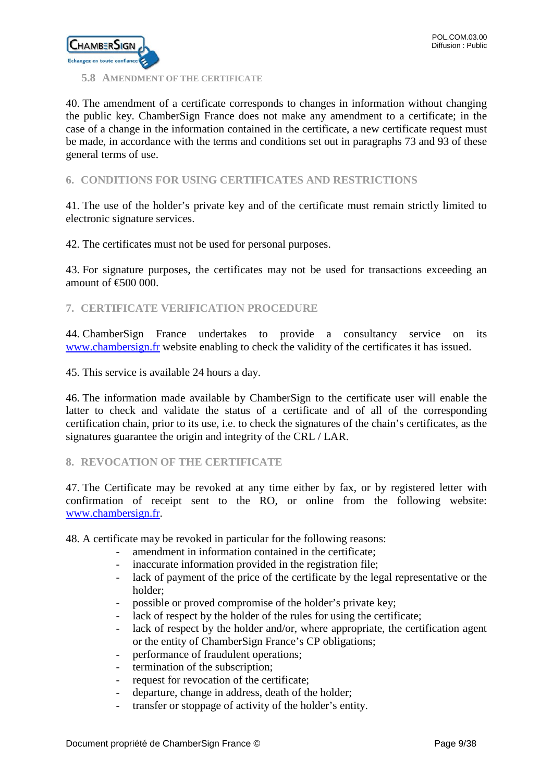

# <span id="page-8-0"></span>**5.8 AMENDMENT OF THE CERTIFICATE**

40. The amendment of a certificate corresponds to changes in information without changing the public key. ChamberSign France does not make any amendment to a certificate; in the case of a change in the information contained in the certificate, a new certificate request must be made, in accordance with the terms and conditions set out in paragraphs 73 and 93 of these general terms of use.

# <span id="page-8-1"></span>**6. CONDITIONS FOR USING CERTIFICATES AND RESTRICTIONS**

41. The use of the holder's private key and of the certificate must remain strictly limited to electronic signature services.

42. The certificates must not be used for personal purposes.

43. For signature purposes, the certificates may not be used for transactions exceeding an amount of  $\epsilon$  600 000.

<span id="page-8-2"></span>**7. CERTIFICATE VERIFICATION PROCEDURE**

44. ChamberSign France undertakes to provide a consultancy service on its [www.chambersign.fr](http://www.chambersign.fr/) website enabling to check the validity of the certificates it has issued.

45. This service is available 24 hours a day.

46. The information made available by ChamberSign to the certificate user will enable the latter to check and validate the status of a certificate and of all of the corresponding certification chain, prior to its use, i.e. to check the signatures of the chain's certificates, as the signatures guarantee the origin and integrity of the CRL / LAR.

### <span id="page-8-3"></span>**8. REVOCATION OF THE CERTIFICATE**

47. The Certificate may be revoked at any time either by fax, or by registered letter with confirmation of receipt sent to the RO, or online from the following website: [www.chambersign.fr.](http://www.chambersign.fr/)

48. A certificate may be revoked in particular for the following reasons:

- amendment in information contained in the certificate;
- inaccurate information provided in the registration file;
- lack of payment of the price of the certificate by the legal representative or the holder;
- possible or proved compromise of the holder's private key;
- lack of respect by the holder of the rules for using the certificate;
- lack of respect by the holder and/or, where appropriate, the certification agent or the entity of ChamberSign France's CP obligations;
- performance of fraudulent operations;
- termination of the subscription;
- request for revocation of the certificate;
- departure, change in address, death of the holder;
- transfer or stoppage of activity of the holder's entity.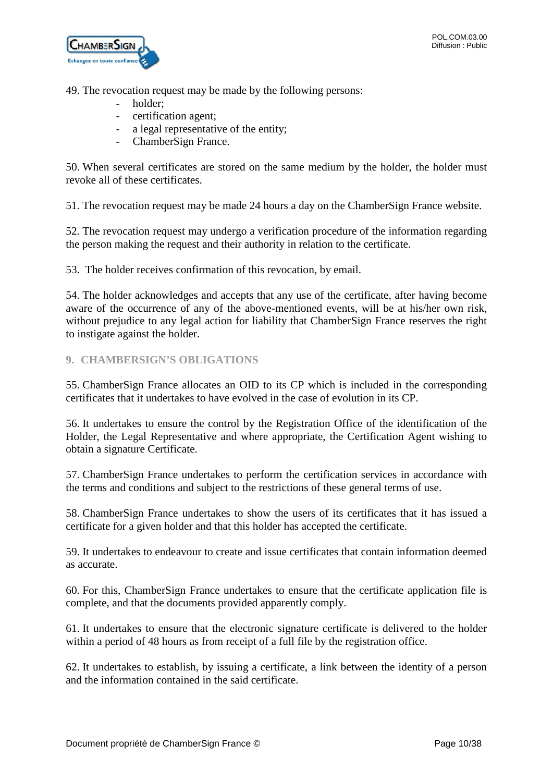

49. The revocation request may be made by the following persons:

- holder:
- certification agent;
- a legal representative of the entity;
- ChamberSign France.

50. When several certificates are stored on the same medium by the holder, the holder must revoke all of these certificates.

51. The revocation request may be made 24 hours a day on the ChamberSign France website.

52. The revocation request may undergo a verification procedure of the information regarding the person making the request and their authority in relation to the certificate.

53. The holder receives confirmation of this revocation, by email.

54. The holder acknowledges and accepts that any use of the certificate, after having become aware of the occurrence of any of the above-mentioned events, will be at his/her own risk, without prejudice to any legal action for liability that ChamberSign France reserves the right to instigate against the holder.

# <span id="page-9-0"></span>**9. CHAMBERSIGN'S OBLIGATIONS**

55. ChamberSign France allocates an OID to its CP which is included in the corresponding certificates that it undertakes to have evolved in the case of evolution in its CP.

56. It undertakes to ensure the control by the Registration Office of the identification of the Holder, the Legal Representative and where appropriate, the Certification Agent wishing to obtain a signature Certificate.

57. ChamberSign France undertakes to perform the certification services in accordance with the terms and conditions and subject to the restrictions of these general terms of use.

58. ChamberSign France undertakes to show the users of its certificates that it has issued a certificate for a given holder and that this holder has accepted the certificate.

59. It undertakes to endeavour to create and issue certificates that contain information deemed as accurate.

60. For this, ChamberSign France undertakes to ensure that the certificate application file is complete, and that the documents provided apparently comply.

61. It undertakes to ensure that the electronic signature certificate is delivered to the holder within a period of 48 hours as from receipt of a full file by the registration office.

62. It undertakes to establish, by issuing a certificate, a link between the identity of a person and the information contained in the said certificate.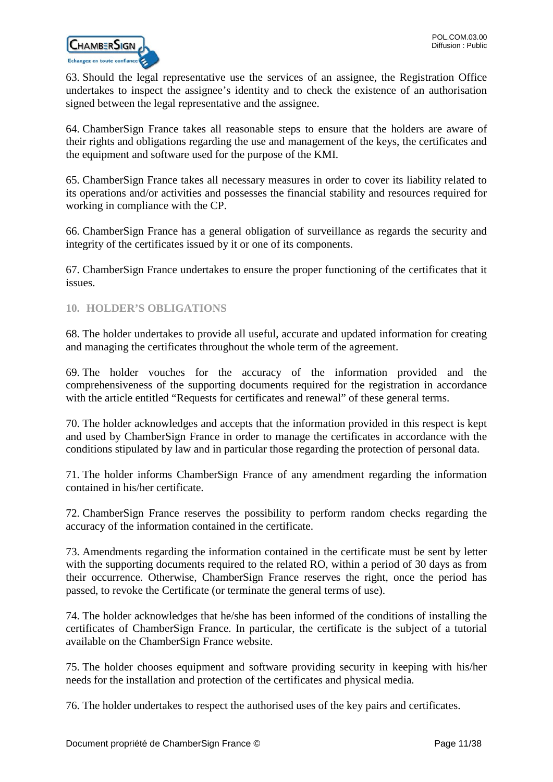

63. Should the legal representative use the services of an assignee, the Registration Office undertakes to inspect the assignee's identity and to check the existence of an authorisation signed between the legal representative and the assignee.

64. ChamberSign France takes all reasonable steps to ensure that the holders are aware of their rights and obligations regarding the use and management of the keys, the certificates and the equipment and software used for the purpose of the KMI.

65. ChamberSign France takes all necessary measures in order to cover its liability related to its operations and/or activities and possesses the financial stability and resources required for working in compliance with the CP.

66. ChamberSign France has a general obligation of surveillance as regards the security and integrity of the certificates issued by it or one of its components.

67. ChamberSign France undertakes to ensure the proper functioning of the certificates that it issues.

### <span id="page-10-0"></span>**10. HOLDER'S OBLIGATIONS**

68. The holder undertakes to provide all useful, accurate and updated information for creating and managing the certificates throughout the whole term of the agreement.

69. The holder vouches for the accuracy of the information provided and the comprehensiveness of the supporting documents required for the registration in accordance with the article entitled "Requests for certificates and renewal" of these general terms.

70. The holder acknowledges and accepts that the information provided in this respect is kept and used by ChamberSign France in order to manage the certificates in accordance with the conditions stipulated by law and in particular those regarding the protection of personal data.

71. The holder informs ChamberSign France of any amendment regarding the information contained in his/her certificate.

72. ChamberSign France reserves the possibility to perform random checks regarding the accuracy of the information contained in the certificate.

73. Amendments regarding the information contained in the certificate must be sent by letter with the supporting documents required to the related RO, within a period of 30 days as from their occurrence. Otherwise, ChamberSign France reserves the right, once the period has passed, to revoke the Certificate (or terminate the general terms of use).

74. The holder acknowledges that he/she has been informed of the conditions of installing the certificates of ChamberSign France. In particular, the certificate is the subject of a tutorial available on the ChamberSign France website.

75. The holder chooses equipment and software providing security in keeping with his/her needs for the installation and protection of the certificates and physical media.

76. The holder undertakes to respect the authorised uses of the key pairs and certificates.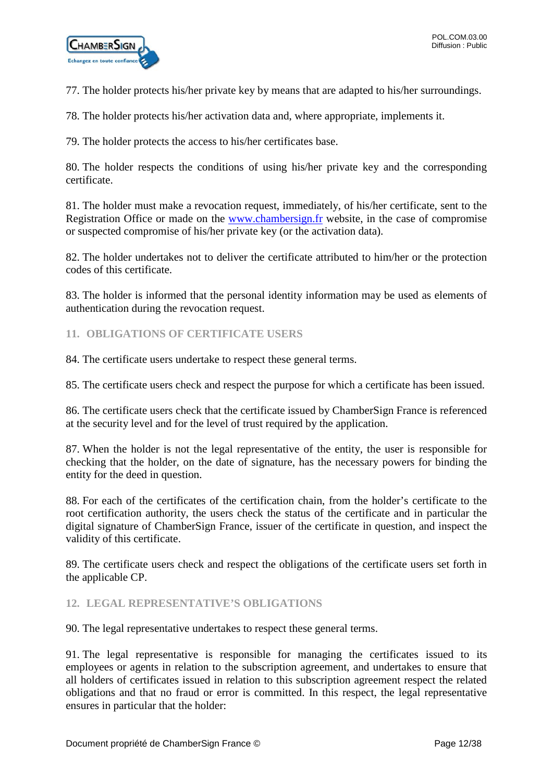77. The holder protects his/her private key by means that are adapted to his/her surroundings.

78. The holder protects his/her activation data and, where appropriate, implements it.

79. The holder protects the access to his/her certificates base.

80. The holder respects the conditions of using his/her private key and the corresponding certificate.

81. The holder must make a revocation request, immediately, of his/her certificate, sent to the Registration Office or made on the [www.chambersign.fr](http://www.chambersign.fr/) website, in the case of compromise or suspected compromise of his/her private key (or the activation data).

82. The holder undertakes not to deliver the certificate attributed to him/her or the protection codes of this certificate.

83. The holder is informed that the personal identity information may be used as elements of authentication during the revocation request.

# <span id="page-11-0"></span>**11. OBLIGATIONS OF CERTIFICATE USERS**

84. The certificate users undertake to respect these general terms.

85. The certificate users check and respect the purpose for which a certificate has been issued.

86. The certificate users check that the certificate issued by ChamberSign France is referenced at the security level and for the level of trust required by the application.

87. When the holder is not the legal representative of the entity, the user is responsible for checking that the holder, on the date of signature, has the necessary powers for binding the entity for the deed in question.

88. For each of the certificates of the certification chain, from the holder's certificate to the root certification authority, the users check the status of the certificate and in particular the digital signature of ChamberSign France, issuer of the certificate in question, and inspect the validity of this certificate.

89. The certificate users check and respect the obligations of the certificate users set forth in the applicable CP.

### <span id="page-11-1"></span>**12. LEGAL REPRESENTATIVE'S OBLIGATIONS**

90. The legal representative undertakes to respect these general terms.

91. The legal representative is responsible for managing the certificates issued to its employees or agents in relation to the subscription agreement, and undertakes to ensure that all holders of certificates issued in relation to this subscription agreement respect the related obligations and that no fraud or error is committed. In this respect, the legal representative ensures in particular that the holder: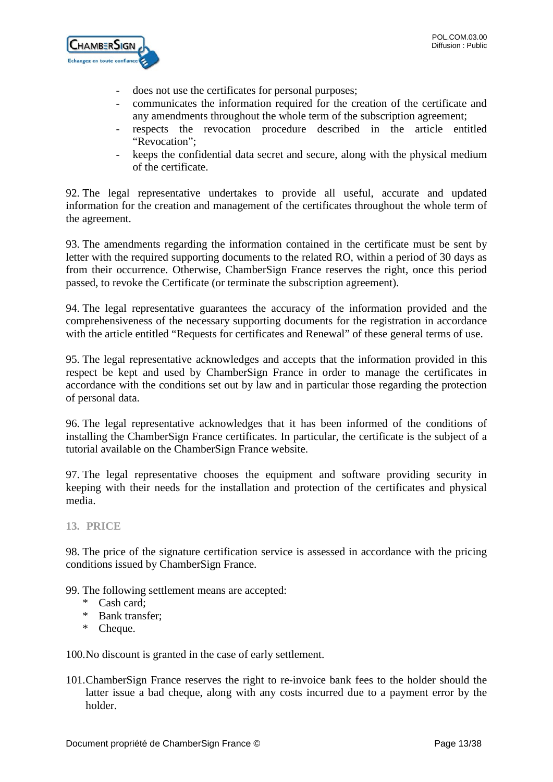

- does not use the certificates for personal purposes;
- communicates the information required for the creation of the certificate and any amendments throughout the whole term of the subscription agreement;
- respects the revocation procedure described in the article entitled "Revocation";
- keeps the confidential data secret and secure, along with the physical medium of the certificate.

92. The legal representative undertakes to provide all useful, accurate and updated information for the creation and management of the certificates throughout the whole term of the agreement.

93. The amendments regarding the information contained in the certificate must be sent by letter with the required supporting documents to the related RO, within a period of 30 days as from their occurrence. Otherwise, ChamberSign France reserves the right, once this period passed, to revoke the Certificate (or terminate the subscription agreement).

94. The legal representative guarantees the accuracy of the information provided and the comprehensiveness of the necessary supporting documents for the registration in accordance with the article entitled "Requests for certificates and Renewal" of these general terms of use.

95. The legal representative acknowledges and accepts that the information provided in this respect be kept and used by ChamberSign France in order to manage the certificates in accordance with the conditions set out by law and in particular those regarding the protection of personal data.

96. The legal representative acknowledges that it has been informed of the conditions of installing the ChamberSign France certificates. In particular, the certificate is the subject of a tutorial available on the ChamberSign France website.

97. The legal representative chooses the equipment and software providing security in keeping with their needs for the installation and protection of the certificates and physical media.

<span id="page-12-0"></span>**13. PRICE**

98. The price of the signature certification service is assessed in accordance with the pricing conditions issued by ChamberSign France.

99. The following settlement means are accepted:

- \* Cash card;
- \* Bank transfer;
- \* Cheque.

100.No discount is granted in the case of early settlement.

101.ChamberSign France reserves the right to re-invoice bank fees to the holder should the latter issue a bad cheque, along with any costs incurred due to a payment error by the holder.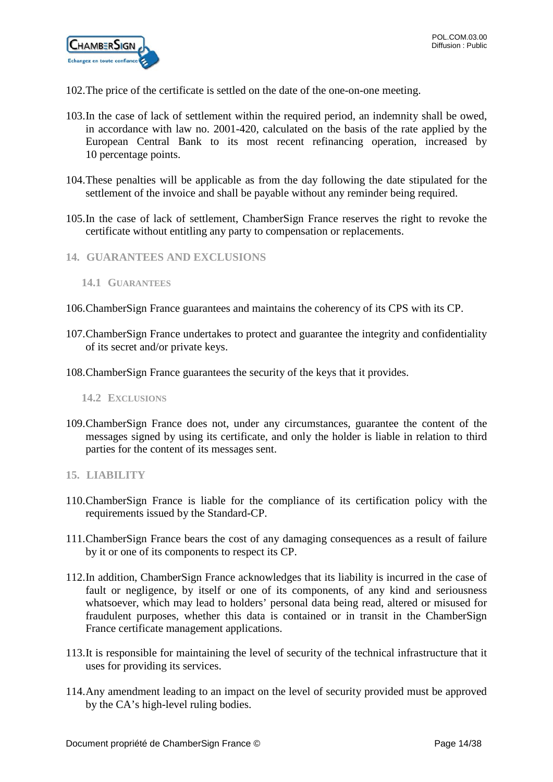- 102.The price of the certificate is settled on the date of the one-on-one meeting.
- 103.In the case of lack of settlement within the required period, an indemnity shall be owed, in accordance with law no. 2001-420, calculated on the basis of the rate applied by the European Central Bank to its most recent refinancing operation, increased by 10 percentage points.
- 104.These penalties will be applicable as from the day following the date stipulated for the settlement of the invoice and shall be payable without any reminder being required.
- 105.In the case of lack of settlement, ChamberSign France reserves the right to revoke the certificate without entitling any party to compensation or replacements.
- <span id="page-13-0"></span>**14. GUARANTEES AND EXCLUSIONS**

- 106.ChamberSign France guarantees and maintains the coherency of its CPS with its CP.
- 107.ChamberSign France undertakes to protect and guarantee the integrity and confidentiality of its secret and/or private keys.
- 108.ChamberSign France guarantees the security of the keys that it provides.

<span id="page-13-2"></span>**14.2 EXCLUSIONS**

- 109.ChamberSign France does not, under any circumstances, guarantee the content of the messages signed by using its certificate, and only the holder is liable in relation to third parties for the content of its messages sent.
- <span id="page-13-3"></span>**15. LIABILITY**
- 110.ChamberSign France is liable for the compliance of its certification policy with the requirements issued by the Standard-CP.
- 111.ChamberSign France bears the cost of any damaging consequences as a result of failure by it or one of its components to respect its CP.
- 112.In addition, ChamberSign France acknowledges that its liability is incurred in the case of fault or negligence, by itself or one of its components, of any kind and seriousness whatsoever, which may lead to holders' personal data being read, altered or misused for fraudulent purposes, whether this data is contained or in transit in the ChamberSign France certificate management applications.
- 113.It is responsible for maintaining the level of security of the technical infrastructure that it uses for providing its services.
- 114.Any amendment leading to an impact on the level of security provided must be approved by the CA's high-level ruling bodies.

<span id="page-13-1"></span>**<sup>14.1</sup> GUARANTEES**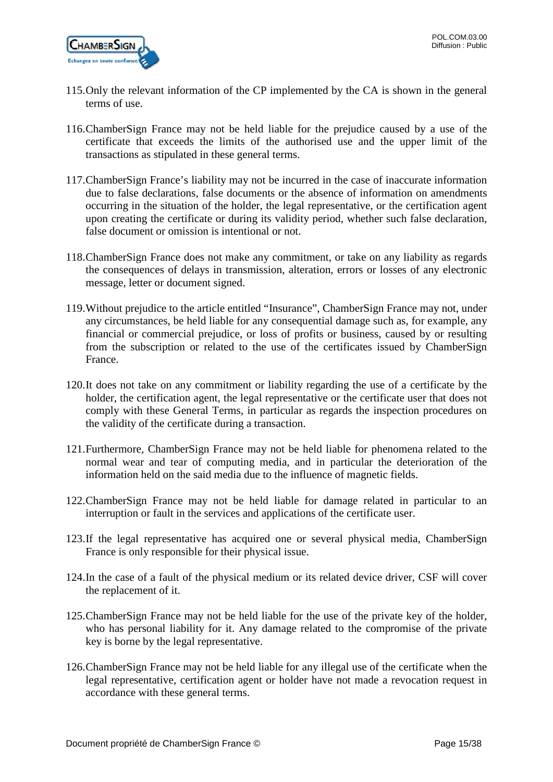

- 115.Only the relevant information of the CP implemented by the CA is shown in the general terms of use.
- 116.ChamberSign France may not be held liable for the prejudice caused by a use of the certificate that exceeds the limits of the authorised use and the upper limit of the transactions as stipulated in these general terms.
- 117.ChamberSign France's liability may not be incurred in the case of inaccurate information due to false declarations, false documents or the absence of information on amendments occurring in the situation of the holder, the legal representative, or the certification agent upon creating the certificate or during its validity period, whether such false declaration, false document or omission is intentional or not.
- 118.ChamberSign France does not make any commitment, or take on any liability as regards the consequences of delays in transmission, alteration, errors or losses of any electronic message, letter or document signed.
- 119.Without prejudice to the article entitled "Insurance", ChamberSign France may not, under any circumstances, be held liable for any consequential damage such as, for example, any financial or commercial prejudice, or loss of profits or business, caused by or resulting from the subscription or related to the use of the certificates issued by ChamberSign France.
- 120.It does not take on any commitment or liability regarding the use of a certificate by the holder, the certification agent, the legal representative or the certificate user that does not comply with these General Terms, in particular as regards the inspection procedures on the validity of the certificate during a transaction.
- 121.Furthermore, ChamberSign France may not be held liable for phenomena related to the normal wear and tear of computing media, and in particular the deterioration of the information held on the said media due to the influence of magnetic fields.
- 122.ChamberSign France may not be held liable for damage related in particular to an interruption or fault in the services and applications of the certificate user.
- 123.If the legal representative has acquired one or several physical media, ChamberSign France is only responsible for their physical issue.
- 124.In the case of a fault of the physical medium or its related device driver, CSF will cover the replacement of it.
- 125.ChamberSign France may not be held liable for the use of the private key of the holder, who has personal liability for it. Any damage related to the compromise of the private key is borne by the legal representative.
- 126.ChamberSign France may not be held liable for any illegal use of the certificate when the legal representative, certification agent or holder have not made a revocation request in accordance with these general terms.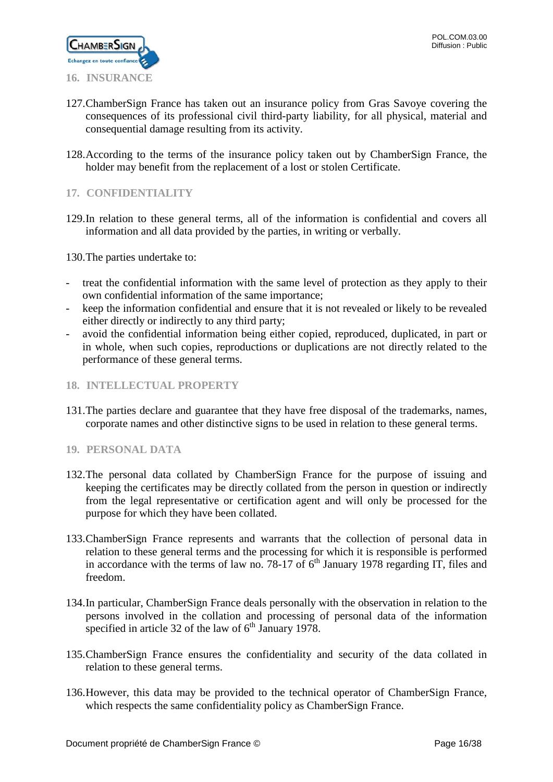

- <span id="page-15-0"></span>127.ChamberSign France has taken out an insurance policy from Gras Savoye covering the consequences of its professional civil third-party liability, for all physical, material and consequential damage resulting from its activity.
- 128.According to the terms of the insurance policy taken out by ChamberSign France, the holder may benefit from the replacement of a lost or stolen Certificate.

# <span id="page-15-1"></span>**17. CONFIDENTIALITY**

129.In relation to these general terms, all of the information is confidential and covers all information and all data provided by the parties, in writing or verbally.

130.The parties undertake to:

- treat the confidential information with the same level of protection as they apply to their own confidential information of the same importance;
- keep the information confidential and ensure that it is not revealed or likely to be revealed either directly or indirectly to any third party;
- avoid the confidential information being either copied, reproduced, duplicated, in part or in whole, when such copies, reproductions or duplications are not directly related to the performance of these general terms.
- <span id="page-15-2"></span>**18. INTELLECTUAL PROPERTY**
- 131.The parties declare and guarantee that they have free disposal of the trademarks, names, corporate names and other distinctive signs to be used in relation to these general terms.

### <span id="page-15-3"></span>**19. PERSONAL DATA**

- 132.The personal data collated by ChamberSign France for the purpose of issuing and keeping the certificates may be directly collated from the person in question or indirectly from the legal representative or certification agent and will only be processed for the purpose for which they have been collated.
- 133.ChamberSign France represents and warrants that the collection of personal data in relation to these general terms and the processing for which it is responsible is performed in accordance with the terms of law no. 78-17 of  $6<sup>th</sup>$  January 1978 regarding IT, files and freedom.
- 134.In particular, ChamberSign France deals personally with the observation in relation to the persons involved in the collation and processing of personal data of the information specified in article 32 of the law of  $6<sup>th</sup>$  January 1978.
- 135.ChamberSign France ensures the confidentiality and security of the data collated in relation to these general terms.
- 136.However, this data may be provided to the technical operator of ChamberSign France, which respects the same confidentiality policy as ChamberSign France.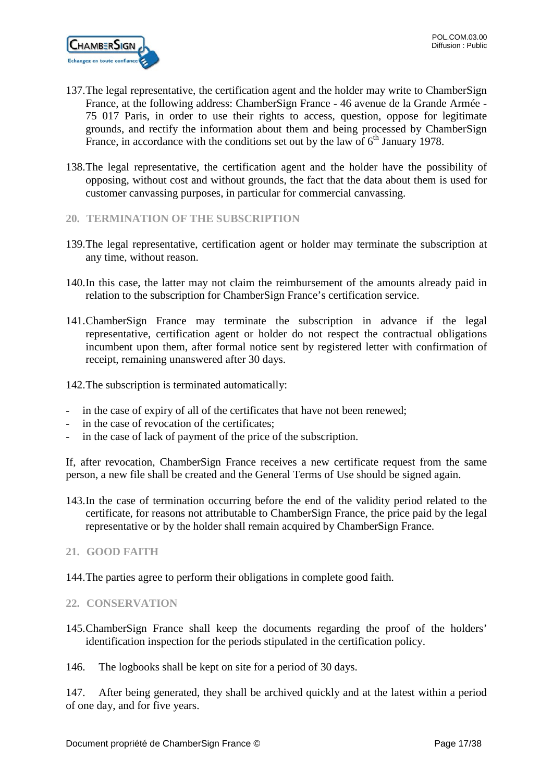

- 137.The legal representative, the certification agent and the holder may write to ChamberSign France, at the following address: ChamberSign France - 46 avenue de la Grande Armée - 75 017 Paris, in order to use their rights to access, question, oppose for legitimate grounds, and rectify the information about them and being processed by ChamberSign France, in accordance with the conditions set out by the law of  $6<sup>th</sup>$  January 1978.
- 138.The legal representative, the certification agent and the holder have the possibility of opposing, without cost and without grounds, the fact that the data about them is used for customer canvassing purposes, in particular for commercial canvassing.
- <span id="page-16-0"></span>**20. TERMINATION OF THE SUBSCRIPTION**
- 139.The legal representative, certification agent or holder may terminate the subscription at any time, without reason.
- 140.In this case, the latter may not claim the reimbursement of the amounts already paid in relation to the subscription for ChamberSign France's certification service.
- 141.ChamberSign France may terminate the subscription in advance if the legal representative, certification agent or holder do not respect the contractual obligations incumbent upon them, after formal notice sent by registered letter with confirmation of receipt, remaining unanswered after 30 days.
- 142.The subscription is terminated automatically:
- in the case of expiry of all of the certificates that have not been renewed;
- in the case of revocation of the certificates;
- in the case of lack of payment of the price of the subscription.

If, after revocation, ChamberSign France receives a new certificate request from the same person, a new file shall be created and the General Terms of Use should be signed again.

143.In the case of termination occurring before the end of the validity period related to the certificate, for reasons not attributable to ChamberSign France, the price paid by the legal representative or by the holder shall remain acquired by ChamberSign France.

### <span id="page-16-1"></span>**21. GOOD FAITH**

144.The parties agree to perform their obligations in complete good faith.

### <span id="page-16-2"></span>**22. CONSERVATION**

145.ChamberSign France shall keep the documents regarding the proof of the holders' identification inspection for the periods stipulated in the certification policy.

146. The logbooks shall be kept on site for a period of 30 days.

147. After being generated, they shall be archived quickly and at the latest within a period of one day, and for five years.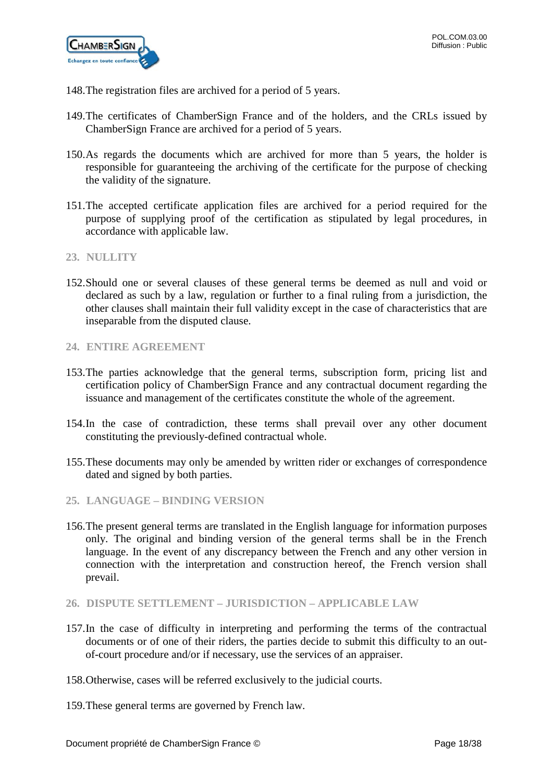- 148.The registration files are archived for a period of 5 years.
- 149.The certificates of ChamberSign France and of the holders, and the CRLs issued by ChamberSign France are archived for a period of 5 years.
- 150.As regards the documents which are archived for more than 5 years, the holder is responsible for guaranteeing the archiving of the certificate for the purpose of checking the validity of the signature.
- 151.The accepted certificate application files are archived for a period required for the purpose of supplying proof of the certification as stipulated by legal procedures, in accordance with applicable law.
- <span id="page-17-0"></span>**23. NULLITY**
- 152.Should one or several clauses of these general terms be deemed as null and void or declared as such by a law, regulation or further to a final ruling from a jurisdiction, the other clauses shall maintain their full validity except in the case of characteristics that are inseparable from the disputed clause.
- <span id="page-17-1"></span>**24. ENTIRE AGREEMENT**
- 153.The parties acknowledge that the general terms, subscription form, pricing list and certification policy of ChamberSign France and any contractual document regarding the issuance and management of the certificates constitute the whole of the agreement.
- 154.In the case of contradiction, these terms shall prevail over any other document constituting the previously-defined contractual whole.
- 155.These documents may only be amended by written rider or exchanges of correspondence dated and signed by both parties.
- <span id="page-17-2"></span>**25. LANGUAGE – BINDING VERSION**
- 156.The present general terms are translated in the English language for information purposes only. The original and binding version of the general terms shall be in the French language. In the event of any discrepancy between the French and any other version in connection with the interpretation and construction hereof, the French version shall prevail.
- <span id="page-17-3"></span>**26. DISPUTE SETTLEMENT – JURISDICTION – APPLICABLE LAW**
- 157.In the case of difficulty in interpreting and performing the terms of the contractual documents or of one of their riders, the parties decide to submit this difficulty to an outof-court procedure and/or if necessary, use the services of an appraiser.
- 158.Otherwise, cases will be referred exclusively to the judicial courts.
- 159.These general terms are governed by French law.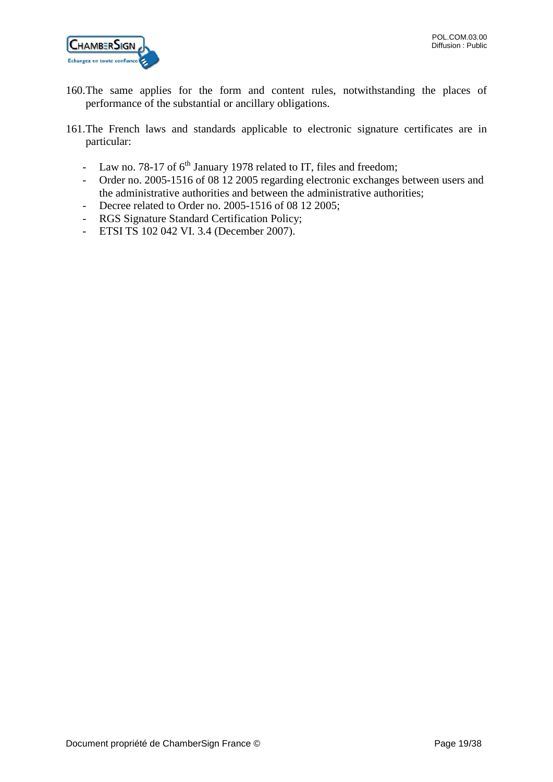

- 160.The same applies for the form and content rules, notwithstanding the places of performance of the substantial or ancillary obligations.
- 161.The French laws and standards applicable to electronic signature certificates are in particular:
	- Law no. 78-17 of  $6<sup>th</sup>$  January 1978 related to IT, files and freedom;
	- Order no. 2005-1516 of 08 12 2005 regarding electronic exchanges between users and the administrative authorities and between the administrative authorities;
	- Decree related to Order no. 2005-1516 of 08 12 2005;
	- RGS Signature Standard Certification Policy;
	- ETSI TS 102 042 VI. 3.4 (December 2007).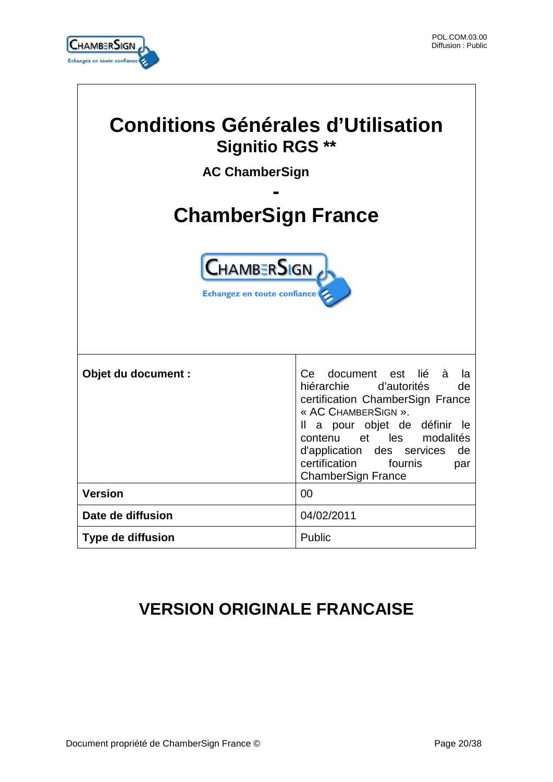

 $\overline{1}$ 

| <b>Conditions Générales d'Utilisation</b><br><b>Signitio RGS **</b><br><b>AC ChamberSign</b><br><b>ChamberSign France</b> |                                                                                                                                                                                                                                                                                                      |  |  |  |
|---------------------------------------------------------------------------------------------------------------------------|------------------------------------------------------------------------------------------------------------------------------------------------------------------------------------------------------------------------------------------------------------------------------------------------------|--|--|--|
| <b>CHAMBERSIGN</b><br>Echangez en toute confiance                                                                         |                                                                                                                                                                                                                                                                                                      |  |  |  |
| Objet du document :                                                                                                       | document est<br>lié<br>à<br>Ce.<br>la<br>hiérarchie<br>d'autorités<br>de<br>certification ChamberSign France<br>« AC CHAMBERSIGN ».<br>Il a pour objet de définir le<br>contenu et les modalités<br>d'application des services<br>de<br>certification<br>fournis<br>par<br><b>ChamberSign France</b> |  |  |  |
| <b>Version</b>                                                                                                            | 00                                                                                                                                                                                                                                                                                                   |  |  |  |
| Date de diffusion                                                                                                         | 04/02/2011                                                                                                                                                                                                                                                                                           |  |  |  |
| <b>Type de diffusion</b>                                                                                                  | Public                                                                                                                                                                                                                                                                                               |  |  |  |

# **VERSION ORIGINALE FRANCAISE**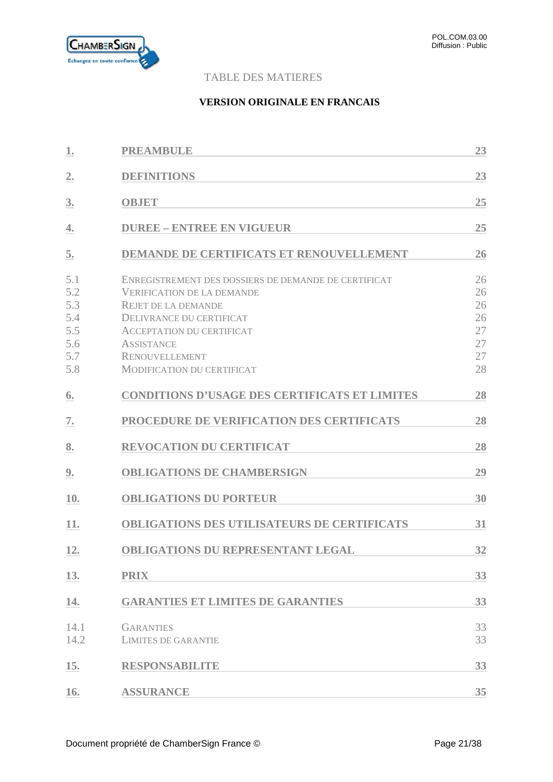

# TABLE DES MATIERES

### **VERSION ORIGINALE EN FRANCAIS**

| 1.                                                   | <b>PREAMBULE</b>                                                                                                                                                                                                                                                           | 23                                           |
|------------------------------------------------------|----------------------------------------------------------------------------------------------------------------------------------------------------------------------------------------------------------------------------------------------------------------------------|----------------------------------------------|
| 2.                                                   | <b>DEFINITIONS</b>                                                                                                                                                                                                                                                         | 23                                           |
| 3.                                                   | <b>OBJET</b>                                                                                                                                                                                                                                                               | 25                                           |
| 4.                                                   | <b>DUREE - ENTREE EN VIGUEUR</b>                                                                                                                                                                                                                                           | 25                                           |
| 5.                                                   | <b>DEMANDE DE CERTIFICATS ET RENOUVELLEMENT</b>                                                                                                                                                                                                                            | 26                                           |
| 5.1<br>5.2<br>5.3<br>5.4<br>5.5<br>5.6<br>5.7<br>5.8 | ENREGISTREMENT DES DOSSIERS DE DEMANDE DE CERTIFICAT<br><b>VERIFICATION DE LA DEMANDE</b><br><b>REJET DE LA DEMANDE</b><br>DELIVRANCE DU CERTIFICAT<br><b>ACCEPTATION DU CERTIFICAT</b><br><b>ASSISTANCE</b><br><b>RENOUVELLEMENT</b><br><b>MODIFICATION DU CERTIFICAT</b> | 26<br>26<br>26<br>26<br>27<br>27<br>27<br>28 |
| 6.                                                   | <b>CONDITIONS D'USAGE DES CERTIFICATS ET LIMITES</b>                                                                                                                                                                                                                       | 28                                           |
| 7.                                                   | PROCEDURE DE VERIFICATION DES CERTIFICATS                                                                                                                                                                                                                                  | 28                                           |
| 8.                                                   | <b>REVOCATION DU CERTIFICAT</b>                                                                                                                                                                                                                                            | 28                                           |
| 9.                                                   | <b>OBLIGATIONS DE CHAMBERSIGN</b>                                                                                                                                                                                                                                          | 29                                           |
| 10.                                                  | <b>OBLIGATIONS DU PORTEUR</b>                                                                                                                                                                                                                                              | 30                                           |
| 11.                                                  | <b>OBLIGATIONS DES UTILISATEURS DE CERTIFICATS</b>                                                                                                                                                                                                                         | 31                                           |
| 12.                                                  | <b>OBLIGATIONS DU REPRESENTANT LEGAL</b>                                                                                                                                                                                                                                   | 32                                           |
| 13.                                                  | <b>PRIX</b>                                                                                                                                                                                                                                                                | 33                                           |
| 14.                                                  | <b>GARANTIES ET LIMITES DE GARANTIES</b>                                                                                                                                                                                                                                   | 33                                           |
| 14.1<br>14.2                                         | <b>GARANTIES</b><br><b>LIMITES DE GARANTIE</b>                                                                                                                                                                                                                             | 33<br>33                                     |
| 15.                                                  | <b>RESPONSABILITE</b>                                                                                                                                                                                                                                                      | 33                                           |
| 16.                                                  | <b>ASSURANCE</b>                                                                                                                                                                                                                                                           | 35                                           |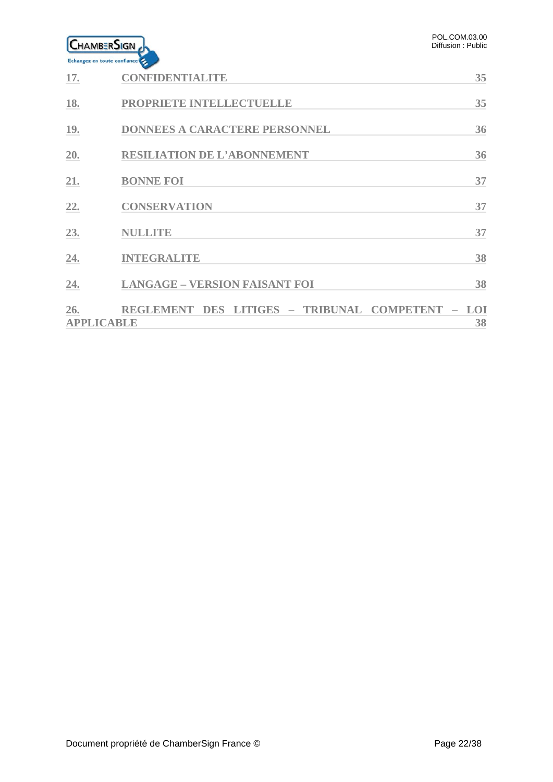| LHAMBERSIGN<br>Echangez en toute confiance |                                                                          | POL.COM.03.00<br>Diffusion: Public |
|--------------------------------------------|--------------------------------------------------------------------------|------------------------------------|
| 17.                                        | <b>CONFIDENTIALITE</b>                                                   | 35                                 |
| 18.                                        | PROPRIETE INTELLECTUELLE                                                 | 35                                 |
| 19.                                        | <b>DONNEES A CARACTERE PERSONNEL</b>                                     | 36                                 |
| 20.                                        | <b>RESILIATION DE L'ABONNEMENT</b>                                       | 36                                 |
| 21.                                        | <b>BONNE FOI</b>                                                         | 37                                 |
| 22.                                        | <b>CONSERVATION</b>                                                      | 37                                 |
| 23.                                        | NULLITE                                                                  | 37                                 |
| 24.                                        | <b>INTEGRALITE</b>                                                       | 38                                 |
| 24.                                        | <b>LANGAGE - VERSION FAISANT FOI</b>                                     | 38                                 |
| 26.<br><b>APPLICABLE</b>                   | - TRIBUNAL COMPETENT<br><b>REGLEMENT</b><br><b>DES</b><br><b>LITIGES</b> | LOI<br>38                          |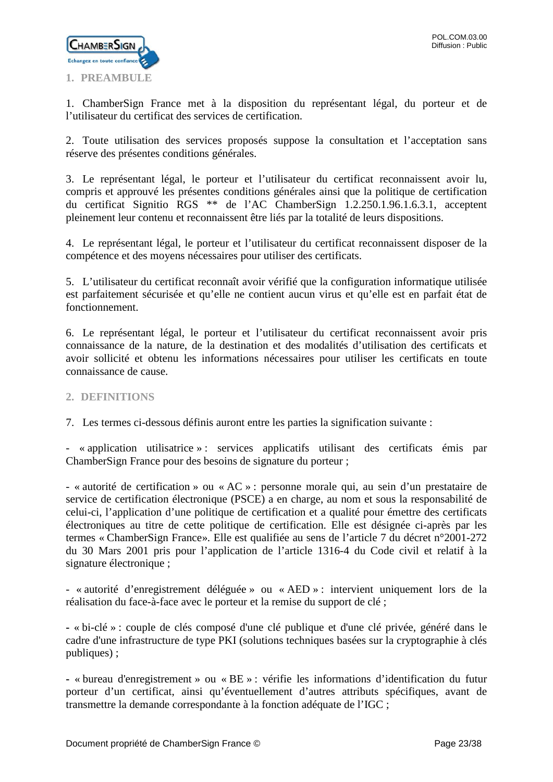

<span id="page-22-0"></span>1. ChamberSign France met à la disposition du représentant légal, du porteur et de l'utilisateur du certificat des services de certification.

2. Toute utilisation des services proposés suppose la consultation et l'acceptation sans réserve des présentes conditions générales.

3. Le représentant légal, le porteur et l'utilisateur du certificat reconnaissent avoir lu, compris et approuvé les présentes conditions générales ainsi que la politique de certification du certificat Signitio RGS \*\* de l'AC ChamberSign 1.2.250.1.96.1.6.3.1, acceptent pleinement leur contenu et reconnaissent être liés par la totalité de leurs dispositions.

4. Le représentant légal, le porteur et l'utilisateur du certificat reconnaissent disposer de la compétence et des moyens nécessaires pour utiliser des certificats.

5. L'utilisateur du certificat reconnaît avoir vérifié que la configuration informatique utilisée est parfaitement sécurisée et qu'elle ne contient aucun virus et qu'elle est en parfait état de fonctionnement.

6. Le représentant légal, le porteur et l'utilisateur du certificat reconnaissent avoir pris connaissance de la nature, de la destination et des modalités d'utilisation des certificats et avoir sollicité et obtenu les informations nécessaires pour utiliser les certificats en toute connaissance de cause.

# <span id="page-22-1"></span>**2. DEFINITIONS**

7. Les termes ci-dessous définis auront entre les parties la signification suivante :

- « application utilisatrice » : services applicatifs utilisant des certificats émis par ChamberSign France pour des besoins de signature du porteur ;

- « autorité de certification » ou « AC » : personne morale qui, au sein d'un prestataire de service de certification électronique (PSCE) a en charge, au nom et sous la responsabilité de celui-ci, l'application d'une politique de certification et a qualité pour émettre des certificats électroniques au titre de cette politique de certification. Elle est désignée ci-après par les termes « ChamberSign France». Elle est qualifiée au sens de l'article 7 du décret n°2001-272 du 30 Mars 2001 pris pour l'application de l'article 1316-4 du Code civil et relatif à la signature électronique ;

- « autorité d'enregistrement déléguée » ou « AED » : intervient uniquement lors de la réalisation du face-à-face avec le porteur et la remise du support de clé ;

**-** « bi-clé » : couple de clés composé d'une clé publique et d'une clé privée, généré dans le cadre d'une infrastructure de type PKI (solutions techniques basées sur la cryptographie à clés publiques) ;

**-** « bureau d'enregistrement » ou « BE » : vérifie les informations d'identification du futur porteur d'un certificat, ainsi qu'éventuellement d'autres attributs spécifiques, avant de transmettre la demande correspondante à la fonction adéquate de l'IGC ;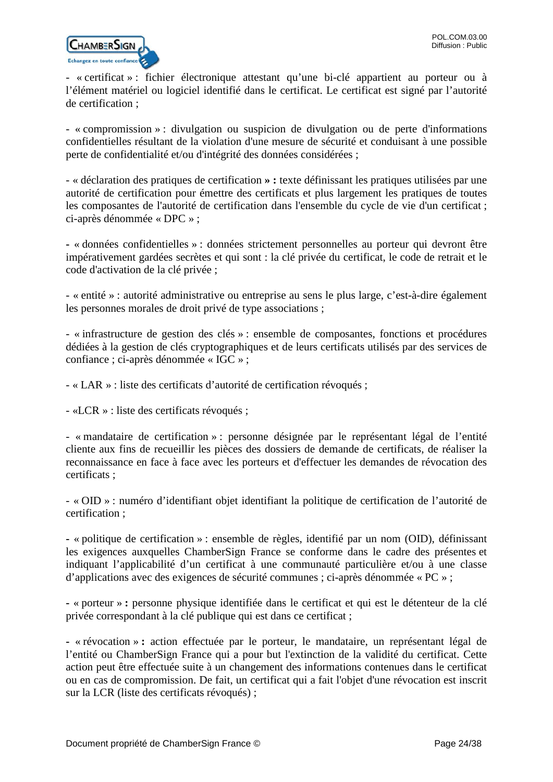

- « certificat » : fichier électronique attestant qu'une bi-clé appartient au porteur ou à l'élément matériel ou logiciel identifié dans le certificat. Le certificat est signé par l'autorité de certification ;

- « compromission » : divulgation ou suspicion de divulgation ou de perte d'informations confidentielles résultant de la violation d'une mesure de sécurité et conduisant à une possible perte de confidentialité et/ou d'intégrité des données considérées ;

- « déclaration des pratiques de certification **» :** texte définissant les pratiques utilisées par une autorité de certification pour émettre des certificats et plus largement les pratiques de toutes les composantes de l'autorité de certification dans l'ensemble du cycle de vie d'un certificat ; ci-après dénommée « DPC » ;

**-** « données confidentielles » : données strictement personnelles au porteur qui devront être impérativement gardées secrètes et qui sont : la clé privée du certificat, le code de retrait et le code d'activation de la clé privée ;

- « entité » : autorité administrative ou entreprise au sens le plus large, c'est-à-dire également les personnes morales de droit privé de type associations ;

- « infrastructure de gestion des clés » : ensemble de composantes, fonctions et procédures dédiées à la gestion de clés cryptographiques et de leurs certificats utilisés par des services de confiance ; ci-après dénommée « IGC » ;

- « LAR » : liste des certificats d'autorité de certification révoqués ;

- «LCR » : liste des certificats révoqués ;

- « mandataire de certification » : personne désignée par le représentant légal de l'entité cliente aux fins de recueillir les pièces des dossiers de demande de certificats, de réaliser la reconnaissance en face à face avec les porteurs et d'effectuer les demandes de révocation des certificats ;

- « OID » : numéro d'identifiant objet identifiant la politique de certification de l'autorité de certification ;

**-** « politique de certification » : ensemble de règles, identifié par un nom (OID), définissant les exigences auxquelles ChamberSign France se conforme dans le cadre des présentes et indiquant l'applicabilité d'un certificat à une communauté particulière et/ou à une classe d'applications avec des exigences de sécurité communes ; ci-après dénommée « PC » ;

**-** « porteur » **:** personne physique identifiée dans le certificat et qui est le détenteur de la clé privée correspondant à la clé publique qui est dans ce certificat ;

**-** « révocation » **:** action effectuée par le porteur, le mandataire, un représentant légal de l'entité ou ChamberSign France qui a pour but l'extinction de la validité du certificat. Cette action peut être effectuée suite à un changement des informations contenues dans le certificat ou en cas de compromission. De fait, un certificat qui a fait l'objet d'une révocation est inscrit sur la LCR (liste des certificats révoqués) ;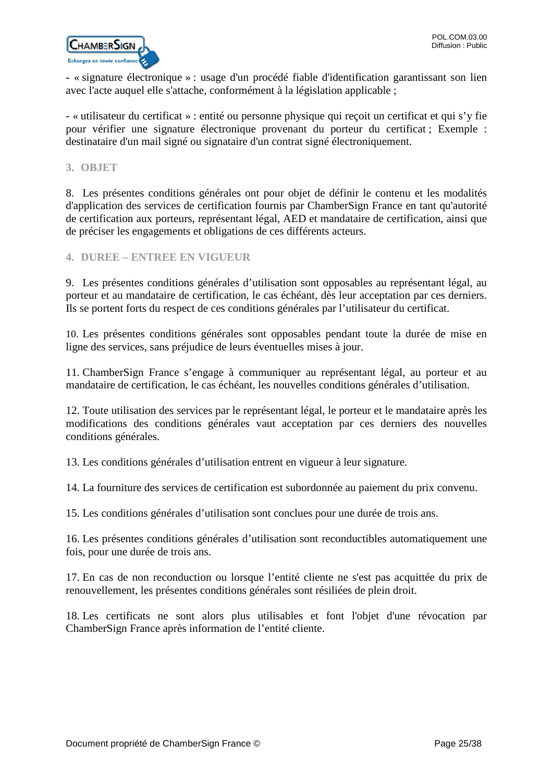

**-** « signature électronique » : usage d'un procédé fiable d'identification garantissant son lien avec l'acte auquel elle s'attache, conformément à la législation applicable ;

- « utilisateur du certificat » : entité ou personne physique qui reçoit un certificat et qui s'y fie pour vérifier une signature électronique provenant du porteur du certificat ; Exemple : destinataire d'un mail signé ou signataire d'un contrat signé électroniquement.

### <span id="page-24-0"></span>**3. OBJET**

8. Les présentes conditions générales ont pour objet de définir le contenu et les modalités d'application des services de certification fournis par ChamberSign France en tant qu'autorité de certification aux porteurs, représentant légal, AED et mandataire de certification, ainsi que de préciser les engagements et obligations de ces différents acteurs.

### <span id="page-24-1"></span>**4. DUREE – ENTREE EN VIGUEUR**

9. Les présentes conditions générales d'utilisation sont opposables au représentant légal, au porteur et au mandataire de certification, le cas échéant, dès leur acceptation par ces derniers. Ils se portent forts du respect de ces conditions générales par l'utilisateur du certificat.

10. Les présentes conditions générales sont opposables pendant toute la durée de mise en ligne des services, sans préjudice de leurs éventuelles mises à jour.

11. ChamberSign France s'engage à communiquer au représentant légal, au porteur et au mandataire de certification, le cas échéant, les nouvelles conditions générales d'utilisation.

12. Toute utilisation des services par le représentant légal, le porteur et le mandataire après les modifications des conditions générales vaut acceptation par ces derniers des nouvelles conditions générales.

13. Les conditions générales d'utilisation entrent en vigueur à leur signature.

14. La fourniture des services de certification est subordonnée au paiement du prix convenu.

15. Les conditions générales d'utilisation sont conclues pour une durée de trois ans.

16. Les présentes conditions générales d'utilisation sont reconductibles automatiquement une fois, pour une durée de trois ans.

17. En cas de non reconduction ou lorsque l'entité cliente ne s'est pas acquittée du prix de renouvellement, les présentes conditions générales sont résiliées de plein droit.

18. Les certificats ne sont alors plus utilisables et font l'objet d'une révocation par ChamberSign France après information de l'entité cliente.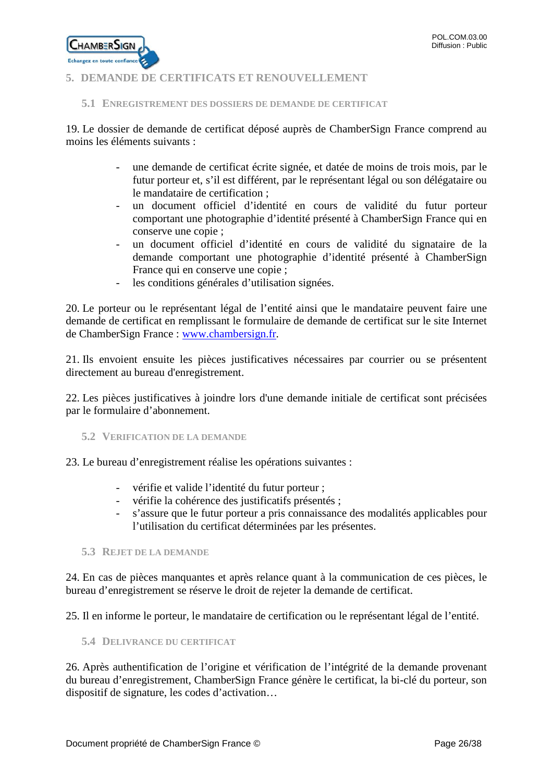

# <span id="page-25-0"></span>**5. DEMANDE DE CERTIFICATS ET RENOUVELLEMENT**

#### <span id="page-25-1"></span>**5.1 ENREGISTREMENT DES DOSSIERS DE DEMANDE DE CERTIFICAT**

19. Le dossier de demande de certificat déposé auprès de ChamberSign France comprend au moins les éléments suivants :

- une demande de certificat écrite signée, et datée de moins de trois mois, par le futur porteur et, s'il est différent, par le représentant légal ou son délégataire ou le mandataire de certification ;
- un document officiel d'identité en cours de validité du futur porteur comportant une photographie d'identité présenté à ChamberSign France qui en conserve une copie ;
- un document officiel d'identité en cours de validité du signataire de la demande comportant une photographie d'identité présenté à ChamberSign France qui en conserve une copie ;
- les conditions générales d'utilisation signées.

20. Le porteur ou le représentant légal de l'entité ainsi que le mandataire peuvent faire une demande de certificat en remplissant le formulaire de demande de certificat sur le site Internet de ChamberSign France : [www.chambersign.fr.](http://www.chambersign.fr/)

21. Ils envoient ensuite les pièces justificatives nécessaires par courrier ou se présentent directement au bureau d'enregistrement.

22. Les pièces justificatives à joindre lors d'une demande initiale de certificat sont précisées par le formulaire d'abonnement.

<span id="page-25-2"></span>**5.2 VERIFICATION DE LA DEMANDE**

23. Le bureau d'enregistrement réalise les opérations suivantes :

- vérifie et valide l'identité du futur porteur ;
- vérifie la cohérence des justificatifs présentés ;
- s'assure que le futur porteur a pris connaissance des modalités applicables pour l'utilisation du certificat déterminées par les présentes.

<span id="page-25-3"></span>**5.3 REJET DE LA DEMANDE**

24. En cas de pièces manquantes et après relance quant à la communication de ces pièces, le bureau d'enregistrement se réserve le droit de rejeter la demande de certificat.

25. Il en informe le porteur, le mandataire de certification ou le représentant légal de l'entité.

<span id="page-25-4"></span>**5.4 DELIVRANCE DU CERTIFICAT**

26. Après authentification de l'origine et vérification de l'intégrité de la demande provenant du bureau d'enregistrement, ChamberSign France génère le certificat, la bi-clé du porteur, son dispositif de signature, les codes d'activation…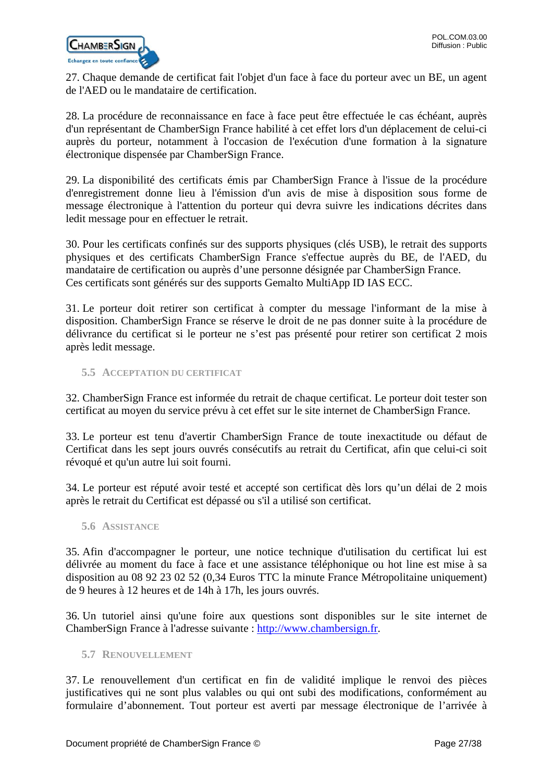

27. Chaque demande de certificat fait l'objet d'un face à face du porteur avec un BE, un agent de l'AED ou le mandataire de certification.

28. La procédure de reconnaissance en face à face peut être effectuée le cas échéant, auprès d'un représentant de ChamberSign France habilité à cet effet lors d'un déplacement de celui-ci auprès du porteur, notamment à l'occasion de l'exécution d'une formation à la signature électronique dispensée par ChamberSign France.

29. La disponibilité des certificats émis par ChamberSign France à l'issue de la procédure d'enregistrement donne lieu à l'émission d'un avis de mise à disposition sous forme de message électronique à l'attention du porteur qui devra suivre les indications décrites dans ledit message pour en effectuer le retrait.

30. Pour les certificats confinés sur des supports physiques (clés USB), le retrait des supports physiques et des certificats ChamberSign France s'effectue auprès du BE, de l'AED, du mandataire de certification ou auprès d'une personne désignée par ChamberSign France. Ces certificats sont générés sur des supports Gemalto MultiApp ID IAS ECC.

31. Le porteur doit retirer son certificat à compter du message l'informant de la mise à disposition. ChamberSign France se réserve le droit de ne pas donner suite à la procédure de délivrance du certificat si le porteur ne s'est pas présenté pour retirer son certificat 2 mois après ledit message.

<span id="page-26-0"></span>**5.5 ACCEPTATION DU CERTIFICAT**

32. ChamberSign France est informée du retrait de chaque certificat. Le porteur doit tester son certificat au moyen du service prévu à cet effet sur le site internet de ChamberSign France.

33. Le porteur est tenu d'avertir ChamberSign France de toute inexactitude ou défaut de Certificat dans les sept jours ouvrés consécutifs au retrait du Certificat, afin que celui-ci soit révoqué et qu'un autre lui soit fourni.

34. Le porteur est réputé avoir testé et accepté son certificat dès lors qu'un délai de 2 mois après le retrait du Certificat est dépassé ou s'il a utilisé son certificat.

<span id="page-26-1"></span>**5.6 ASSISTANCE**

35. Afin d'accompagner le porteur, une notice technique d'utilisation du certificat lui est délivrée au moment du face à face et une assistance téléphonique ou hot line est mise à sa disposition au 08 92 23 02 52 (0,34 Euros TTC la minute France Métropolitaine uniquement) de 9 heures à 12 heures et de 14h à 17h, les jours ouvrés.

36. Un tutoriel ainsi qu'une foire aux questions sont disponibles sur le site internet de ChamberSign France à l'adresse suivante : [http://www.chambersign.fr.](http://www.chambersign.fr/)

### <span id="page-26-2"></span>**5.7 RENOUVELLEMENT**

37. Le renouvellement d'un certificat en fin de validité implique le renvoi des pièces justificatives qui ne sont plus valables ou qui ont subi des modifications, conformément au formulaire d'abonnement. Tout porteur est averti par message électronique de l'arrivée à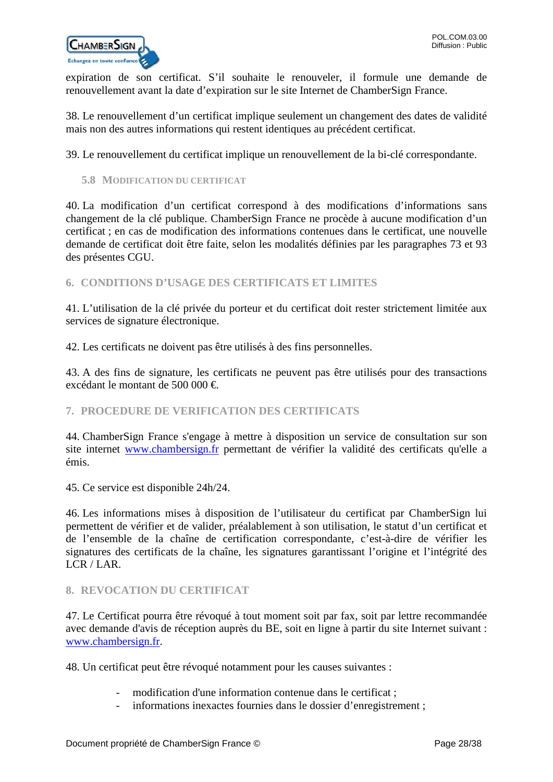

expiration de son certificat. S'il souhaite le renouveler, il formule une demande de renouvellement avant la date d'expiration sur le site Internet de ChamberSign France.

38. Le renouvellement d'un certificat implique seulement un changement des dates de validité mais non des autres informations qui restent identiques au précédent certificat.

39. Le renouvellement du certificat implique un renouvellement de la bi-clé correspondante.

### <span id="page-27-0"></span>**5.8 MODIFICATION DU CERTIFICAT**

40. La modification d'un certificat correspond à des modifications d'informations sans changement de la clé publique. ChamberSign France ne procède à aucune modification d'un certificat ; en cas de modification des informations contenues dans le certificat, une nouvelle demande de certificat doit être faite, selon les modalités définies par les paragraphes 73 et 93 des présentes CGU.

<span id="page-27-1"></span>**6. CONDITIONS D'USAGE DES CERTIFICATS ET LIMITES**

41. L'utilisation de la clé privée du porteur et du certificat doit rester strictement limitée aux services de signature électronique.

42. Les certificats ne doivent pas être utilisés à des fins personnelles.

43. A des fins de signature, les certificats ne peuvent pas être utilisés pour des transactions excédant le montant de 500 000 €.

### <span id="page-27-2"></span>**7. PROCEDURE DE VERIFICATION DES CERTIFICATS**

44. ChamberSign France s'engage à mettre à disposition un service de consultation sur son site internet [www.chambersign.fr](http://www.chambersign.fr/) permettant de vérifier la validité des certificats qu'elle a émis.

45. Ce service est disponible 24h/24.

46. Les informations mises à disposition de l'utilisateur du certificat par ChamberSign lui permettent de vérifier et de valider, préalablement à son utilisation, le statut d'un certificat et de l'ensemble de la chaîne de certification correspondante, c'est-à-dire de vérifier les signatures des certificats de la chaîne, les signatures garantissant l'origine et l'intégrité des LCR / LAR.

### <span id="page-27-3"></span>**8. REVOCATION DU CERTIFICAT**

47. Le Certificat pourra être révoqué à tout moment soit par fax, soit par lettre recommandée avec demande d'avis de réception auprès du BE, soit en ligne à partir du site Internet suivant : [www.chambersign.fr.](http://www.chambersign.fr/)

48. Un certificat peut être révoqué notamment pour les causes suivantes :

- modification d'une information contenue dans le certificat ;
- informations inexactes fournies dans le dossier d'enregistrement;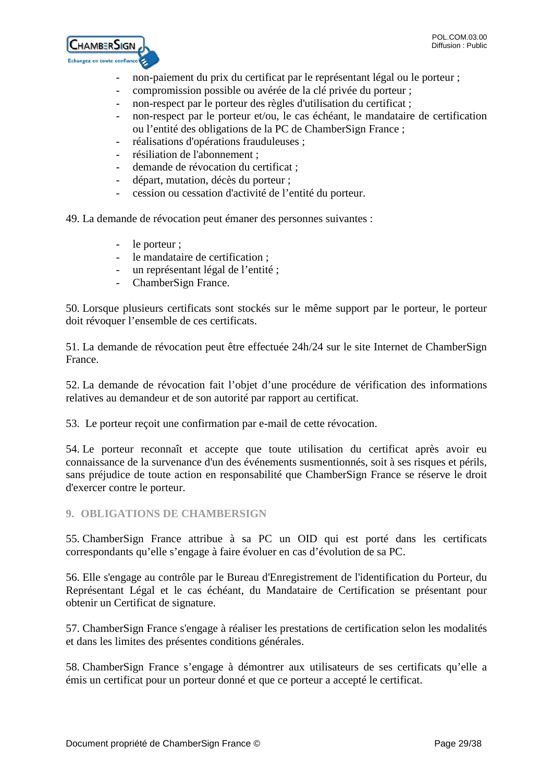

- non-paiement du prix du certificat par le représentant légal ou le porteur ;
- compromission possible ou avérée de la clé privée du porteur ;
- non-respect par le porteur des règles d'utilisation du certificat ;
- non-respect par le porteur et/ou, le cas échéant, le mandataire de certification ou l'entité des obligations de la PC de ChamberSign France ;
- réalisations d'opérations frauduleuses ;
- résiliation de l'abonnement :
- demande de révocation du certificat ;
- départ, mutation, décès du porteur ;
- cession ou cessation d'activité de l'entité du porteur.

49. La demande de révocation peut émaner des personnes suivantes :

- le porteur ;
- le mandataire de certification ;
- un représentant légal de l'entité ;
- ChamberSign France.

50. Lorsque plusieurs certificats sont stockés sur le même support par le porteur, le porteur doit révoquer l'ensemble de ces certificats.

51. La demande de révocation peut être effectuée 24h/24 sur le site Internet de ChamberSign France.

52. La demande de révocation fait l'objet d'une procédure de vérification des informations relatives au demandeur et de son autorité par rapport au certificat.

53. Le porteur reçoit une confirmation par e-mail de cette révocation.

54. Le porteur reconnaît et accepte que toute utilisation du certificat après avoir eu connaissance de la survenance d'un des événements susmentionnés, soit à ses risques et périls, sans préjudice de toute action en responsabilité que ChamberSign France se réserve le droit d'exercer contre le porteur.

### <span id="page-28-0"></span>**9. OBLIGATIONS DE CHAMBERSIGN**

55. ChamberSign France attribue à sa PC un OID qui est porté dans les certificats correspondants qu'elle s'engage à faire évoluer en cas d'évolution de sa PC.

56. Elle s'engage au contrôle par le Bureau d'Enregistrement de l'identification du Porteur, du Représentant Légal et le cas échéant, du Mandataire de Certification se présentant pour obtenir un Certificat de signature.

57. ChamberSign France s'engage à réaliser les prestations de certification selon les modalités et dans les limites des présentes conditions générales.

58. ChamberSign France s'engage à démontrer aux utilisateurs de ses certificats qu'elle a émis un certificat pour un porteur donné et que ce porteur a accepté le certificat.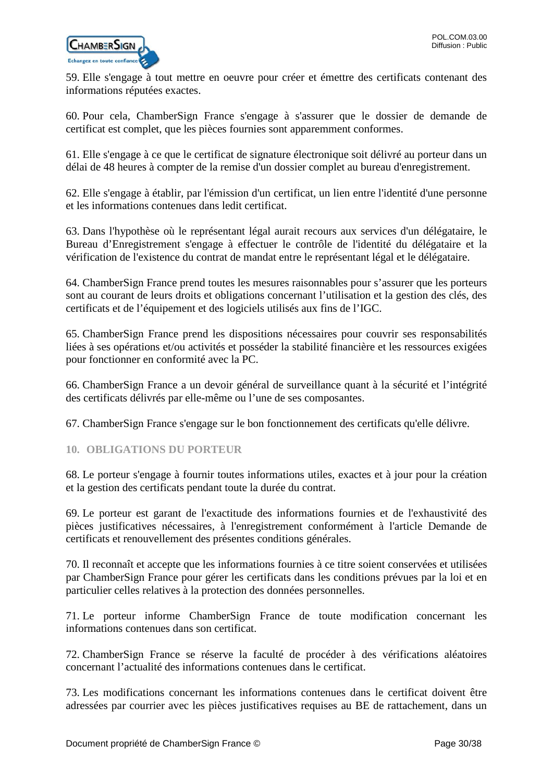

59. Elle s'engage à tout mettre en oeuvre pour créer et émettre des certificats contenant des informations réputées exactes.

60. Pour cela, ChamberSign France s'engage à s'assurer que le dossier de demande de certificat est complet, que les pièces fournies sont apparemment conformes.

61. Elle s'engage à ce que le certificat de signature électronique soit délivré au porteur dans un délai de 48 heures à compter de la remise d'un dossier complet au bureau d'enregistrement.

62. Elle s'engage à établir, par l'émission d'un certificat, un lien entre l'identité d'une personne et les informations contenues dans ledit certificat.

63. Dans l'hypothèse où le représentant légal aurait recours aux services d'un délégataire, le Bureau d'Enregistrement s'engage à effectuer le contrôle de l'identité du délégataire et la vérification de l'existence du contrat de mandat entre le représentant légal et le délégataire.

64. ChamberSign France prend toutes les mesures raisonnables pour s'assurer que les porteurs sont au courant de leurs droits et obligations concernant l'utilisation et la gestion des clés, des certificats et de l'équipement et des logiciels utilisés aux fins de l'IGC.

65. ChamberSign France prend les dispositions nécessaires pour couvrir ses responsabilités liées à ses opérations et/ou activités et posséder la stabilité financière et les ressources exigées pour fonctionner en conformité avec la PC.

66. ChamberSign France a un devoir général de surveillance quant à la sécurité et l'intégrité des certificats délivrés par elle-même ou l'une de ses composantes.

67. ChamberSign France s'engage sur le bon fonctionnement des certificats qu'elle délivre.

<span id="page-29-0"></span>**10. OBLIGATIONS DU PORTEUR**

68. Le porteur s'engage à fournir toutes informations utiles, exactes et à jour pour la création et la gestion des certificats pendant toute la durée du contrat.

69. Le porteur est garant de l'exactitude des informations fournies et de l'exhaustivité des pièces justificatives nécessaires, à l'enregistrement conformément à l'article Demande de certificats et renouvellement des présentes conditions générales.

70. Il reconnaît et accepte que les informations fournies à ce titre soient conservées et utilisées par ChamberSign France pour gérer les certificats dans les conditions prévues par la loi et en particulier celles relatives à la protection des données personnelles.

71. Le porteur informe ChamberSign France de toute modification concernant les informations contenues dans son certificat.

72. ChamberSign France se réserve la faculté de procéder à des vérifications aléatoires concernant l'actualité des informations contenues dans le certificat.

73. Les modifications concernant les informations contenues dans le certificat doivent être adressées par courrier avec les pièces justificatives requises au BE de rattachement, dans un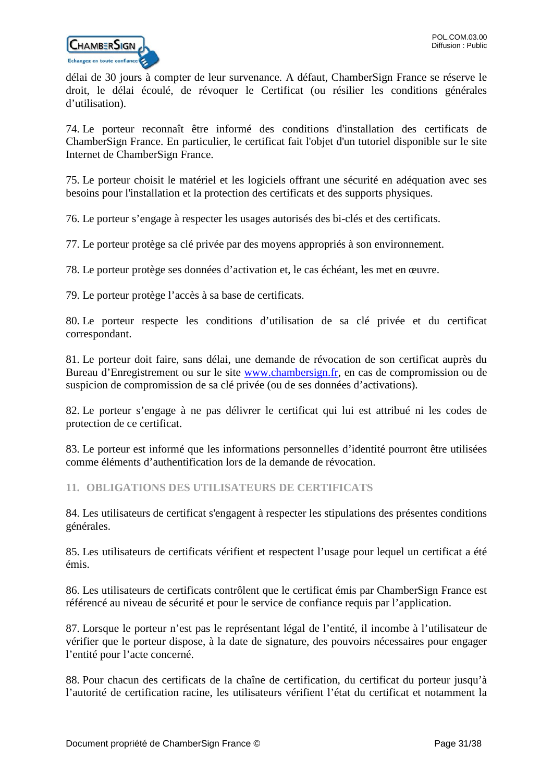

délai de 30 jours à compter de leur survenance. A défaut, ChamberSign France se réserve le droit, le délai écoulé, de révoquer le Certificat (ou résilier les conditions générales d'utilisation).

74. Le porteur reconnaît être informé des conditions d'installation des certificats de ChamberSign France. En particulier, le certificat fait l'objet d'un tutoriel disponible sur le site Internet de ChamberSign France.

75. Le porteur choisit le matériel et les logiciels offrant une sécurité en adéquation avec ses besoins pour l'installation et la protection des certificats et des supports physiques.

76. Le porteur s'engage à respecter les usages autorisés des bi-clés et des certificats.

77. Le porteur protège sa clé privée par des moyens appropriés à son environnement.

78. Le porteur protège ses données d'activation et, le cas échéant, les met en œuvre.

79. Le porteur protège l'accès à sa base de certificats.

80. Le porteur respecte les conditions d'utilisation de sa clé privée et du certificat correspondant.

81. Le porteur doit faire, sans délai, une demande de révocation de son certificat auprès du Bureau d'Enregistrement ou sur le site [www.chambersign.fr,](http://www.chambersign.fr/) en cas de compromission ou de suspicion de compromission de sa clé privée (ou de ses données d'activations).

82. Le porteur s'engage à ne pas délivrer le certificat qui lui est attribué ni les codes de protection de ce certificat.

83. Le porteur est informé que les informations personnelles d'identité pourront être utilisées comme éléments d'authentification lors de la demande de révocation.

### <span id="page-30-0"></span>**11. OBLIGATIONS DES UTILISATEURS DE CERTIFICATS**

84. Les utilisateurs de certificat s'engagent à respecter les stipulations des présentes conditions générales.

85. Les utilisateurs de certificats vérifient et respectent l'usage pour lequel un certificat a été émis.

86. Les utilisateurs de certificats contrôlent que le certificat émis par ChamberSign France est référencé au niveau de sécurité et pour le service de confiance requis par l'application.

87. Lorsque le porteur n'est pas le représentant légal de l'entité, il incombe à l'utilisateur de vérifier que le porteur dispose, à la date de signature, des pouvoirs nécessaires pour engager l'entité pour l'acte concerné.

88. Pour chacun des certificats de la chaîne de certification, du certificat du porteur jusqu'à l'autorité de certification racine, les utilisateurs vérifient l'état du certificat et notamment la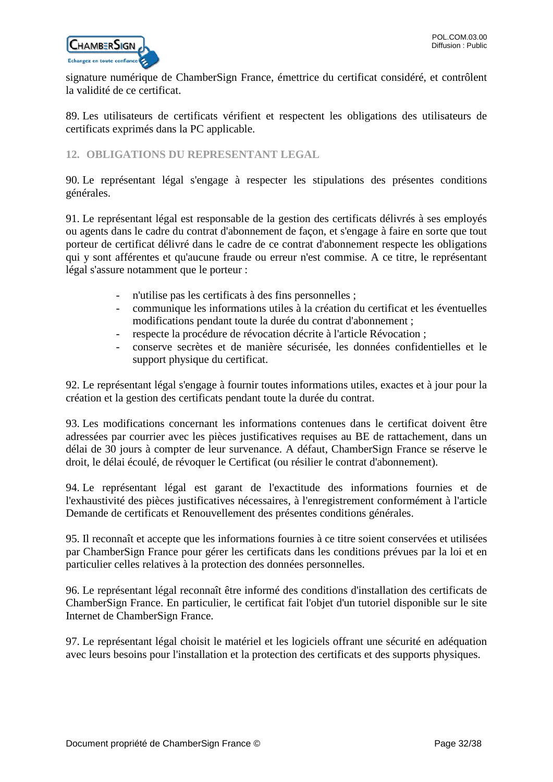signature numérique de ChamberSign France, émettrice du certificat considéré, et contrôlent la validité de ce certificat.

89. Les utilisateurs de certificats vérifient et respectent les obligations des utilisateurs de certificats exprimés dans la PC applicable.

# <span id="page-31-0"></span>**12. OBLIGATIONS DU REPRESENTANT LEGAL**

90. Le représentant légal s'engage à respecter les stipulations des présentes conditions générales.

91. Le représentant légal est responsable de la gestion des certificats délivrés à ses employés ou agents dans le cadre du contrat d'abonnement de façon, et s'engage à faire en sorte que tout porteur de certificat délivré dans le cadre de ce contrat d'abonnement respecte les obligations qui y sont afférentes et qu'aucune fraude ou erreur n'est commise. A ce titre, le représentant légal s'assure notamment que le porteur :

- n'utilise pas les certificats à des fins personnelles ;
- communique les informations utiles à la création du certificat et les éventuelles modifications pendant toute la durée du contrat d'abonnement ;
- respecte la procédure de révocation décrite à l'article Révocation ;
- conserve secrètes et de manière sécurisée, les données confidentielles et le support physique du certificat.

92. Le représentant légal s'engage à fournir toutes informations utiles, exactes et à jour pour la création et la gestion des certificats pendant toute la durée du contrat.

93. Les modifications concernant les informations contenues dans le certificat doivent être adressées par courrier avec les pièces justificatives requises au BE de rattachement, dans un délai de 30 jours à compter de leur survenance. A défaut, ChamberSign France se réserve le droit, le délai écoulé, de révoquer le Certificat (ou résilier le contrat d'abonnement).

94. Le représentant légal est garant de l'exactitude des informations fournies et de l'exhaustivité des pièces justificatives nécessaires, à l'enregistrement conformément à l'article Demande de certificats et Renouvellement des présentes conditions générales.

95. Il reconnaît et accepte que les informations fournies à ce titre soient conservées et utilisées par ChamberSign France pour gérer les certificats dans les conditions prévues par la loi et en particulier celles relatives à la protection des données personnelles.

96. Le représentant légal reconnaît être informé des conditions d'installation des certificats de ChamberSign France. En particulier, le certificat fait l'objet d'un tutoriel disponible sur le site Internet de ChamberSign France.

97. Le représentant légal choisit le matériel et les logiciels offrant une sécurité en adéquation avec leurs besoins pour l'installation et la protection des certificats et des supports physiques.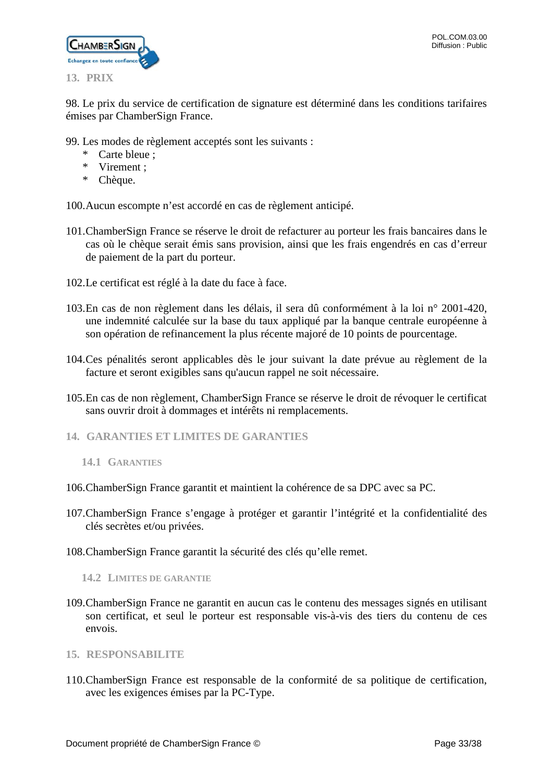

<span id="page-32-0"></span>98. Le prix du service de certification de signature est déterminé dans les conditions tarifaires émises par ChamberSign France.

- 99. Les modes de règlement acceptés sont les suivants :
	- \* Carte bleue ;
	- \* Virement ;
	- \* Chèque.

100.Aucun escompte n'est accordé en cas de règlement anticipé.

- 101.ChamberSign France se réserve le droit de refacturer au porteur les frais bancaires dans le cas où le chèque serait émis sans provision, ainsi que les frais engendrés en cas d'erreur de paiement de la part du porteur.
- 102.Le certificat est réglé à la date du face à face.
- 103.En cas de non règlement dans les délais, il sera dû conformément à la loi n° 2001-420, une indemnité calculée sur la base du taux appliqué par la banque centrale européenne à son opération de refinancement la plus récente majoré de 10 points de pourcentage.
- 104.Ces pénalités seront applicables dès le jour suivant la date prévue au règlement de la facture et seront exigibles sans qu'aucun rappel ne soit nécessaire.
- 105.En cas de non règlement, ChamberSign France se réserve le droit de révoquer le certificat sans ouvrir droit à dommages et intérêts ni remplacements.
- <span id="page-32-2"></span><span id="page-32-1"></span>**14. GARANTIES ET LIMITES DE GARANTIES**
	- **14.1 GARANTIES**
- 106.ChamberSign France garantit et maintient la cohérence de sa DPC avec sa PC.
- 107.ChamberSign France s'engage à protéger et garantir l'intégrité et la confidentialité des clés secrètes et/ou privées.
- 108.ChamberSign France garantit la sécurité des clés qu'elle remet.

<span id="page-32-3"></span>**14.2 LIMITES DE GARANTIE**

- 109.ChamberSign France ne garantit en aucun cas le contenu des messages signés en utilisant son certificat, et seul le porteur est responsable vis-à-vis des tiers du contenu de ces envois.
- <span id="page-32-4"></span>**15. RESPONSABILITE**
- 110.ChamberSign France est responsable de la conformité de sa politique de certification, avec les exigences émises par la PC-Type.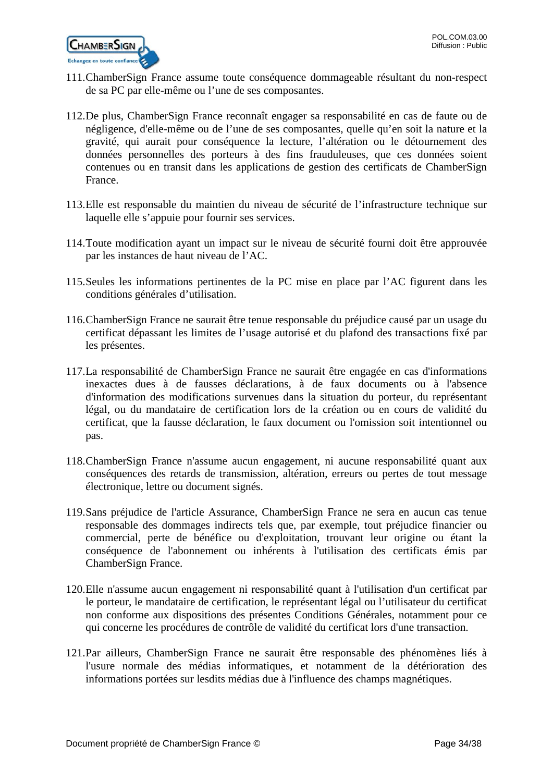

- 111.ChamberSign France assume toute conséquence dommageable résultant du non-respect de sa PC par elle-même ou l'une de ses composantes.
- 112.De plus, ChamberSign France reconnaît engager sa responsabilité en cas de faute ou de négligence, d'elle-même ou de l'une de ses composantes, quelle qu'en soit la nature et la gravité, qui aurait pour conséquence la lecture, l'altération ou le détournement des données personnelles des porteurs à des fins frauduleuses, que ces données soient contenues ou en transit dans les applications de gestion des certificats de ChamberSign France.
- 113.Elle est responsable du maintien du niveau de sécurité de l'infrastructure technique sur laquelle elle s'appuie pour fournir ses services.
- 114.Toute modification ayant un impact sur le niveau de sécurité fourni doit être approuvée par les instances de haut niveau de l'AC.
- 115.Seules les informations pertinentes de la PC mise en place par l'AC figurent dans les conditions générales d'utilisation.
- 116.ChamberSign France ne saurait être tenue responsable du préjudice causé par un usage du certificat dépassant les limites de l'usage autorisé et du plafond des transactions fixé par les présentes.
- 117.La responsabilité de ChamberSign France ne saurait être engagée en cas d'informations inexactes dues à de fausses déclarations, à de faux documents ou à l'absence d'information des modifications survenues dans la situation du porteur, du représentant légal, ou du mandataire de certification lors de la création ou en cours de validité du certificat, que la fausse déclaration, le faux document ou l'omission soit intentionnel ou pas.
- 118.ChamberSign France n'assume aucun engagement, ni aucune responsabilité quant aux conséquences des retards de transmission, altération, erreurs ou pertes de tout message électronique, lettre ou document signés.
- 119.Sans préjudice de l'article Assurance, ChamberSign France ne sera en aucun cas tenue responsable des dommages indirects tels que, par exemple, tout préjudice financier ou commercial, perte de bénéfice ou d'exploitation, trouvant leur origine ou étant la conséquence de l'abonnement ou inhérents à l'utilisation des certificats émis par ChamberSign France.
- 120.Elle n'assume aucun engagement ni responsabilité quant à l'utilisation d'un certificat par le porteur, le mandataire de certification, le représentant légal ou l'utilisateur du certificat non conforme aux dispositions des présentes Conditions Générales, notamment pour ce qui concerne les procédures de contrôle de validité du certificat lors d'une transaction.
- 121.Par ailleurs, ChamberSign France ne saurait être responsable des phénomènes liés à l'usure normale des médias informatiques, et notamment de la détérioration des informations portées sur lesdits médias due à l'influence des champs magnétiques.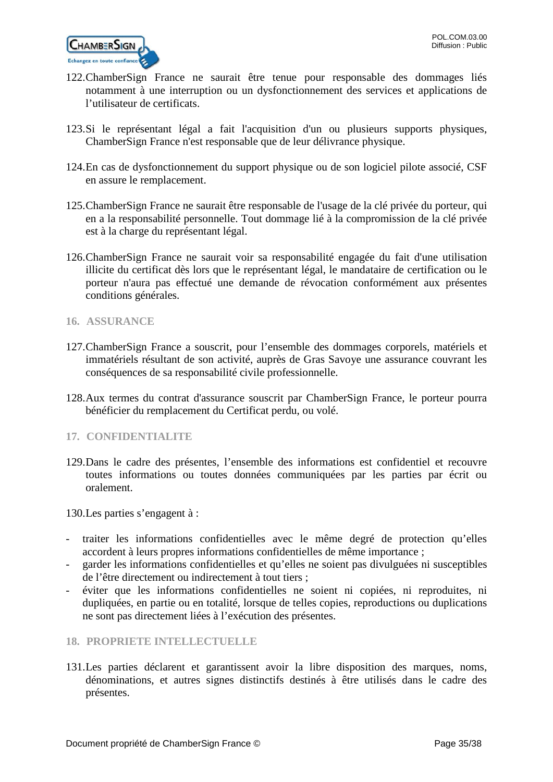

- 122.ChamberSign France ne saurait être tenue pour responsable des dommages liés notamment à une interruption ou un dysfonctionnement des services et applications de l'utilisateur de certificats.
- 123.Si le représentant légal a fait l'acquisition d'un ou plusieurs supports physiques, ChamberSign France n'est responsable que de leur délivrance physique.
- 124.En cas de dysfonctionnement du support physique ou de son logiciel pilote associé, CSF en assure le remplacement.
- 125.ChamberSign France ne saurait être responsable de l'usage de la clé privée du porteur, qui en a la responsabilité personnelle. Tout dommage lié à la compromission de la clé privée est à la charge du représentant légal.
- 126.ChamberSign France ne saurait voir sa responsabilité engagée du fait d'une utilisation illicite du certificat dès lors que le représentant légal, le mandataire de certification ou le porteur n'aura pas effectué une demande de révocation conformément aux présentes conditions générales.
- <span id="page-34-0"></span>**16. ASSURANCE**
- 127.ChamberSign France a souscrit, pour l'ensemble des dommages corporels, matériels et immatériels résultant de son activité, auprès de Gras Savoye une assurance couvrant les conséquences de sa responsabilité civile professionnelle.
- 128.Aux termes du contrat d'assurance souscrit par ChamberSign France, le porteur pourra bénéficier du remplacement du Certificat perdu, ou volé.
- <span id="page-34-1"></span>**17. CONFIDENTIALITE**
- 129.Dans le cadre des présentes, l'ensemble des informations est confidentiel et recouvre toutes informations ou toutes données communiquées par les parties par écrit ou oralement.

130.Les parties s'engagent à :

- traiter les informations confidentielles avec le même degré de protection qu'elles accordent à leurs propres informations confidentielles de même importance ;
- garder les informations confidentielles et qu'elles ne soient pas divulguées ni susceptibles de l'être directement ou indirectement à tout tiers ;
- éviter que les informations confidentielles ne soient ni copiées, ni reproduites, ni dupliquées, en partie ou en totalité, lorsque de telles copies, reproductions ou duplications ne sont pas directement liées à l'exécution des présentes.
- <span id="page-34-2"></span>**18. PROPRIETE INTELLECTUELLE**
- 131.Les parties déclarent et garantissent avoir la libre disposition des marques, noms, dénominations, et autres signes distinctifs destinés à être utilisés dans le cadre des présentes.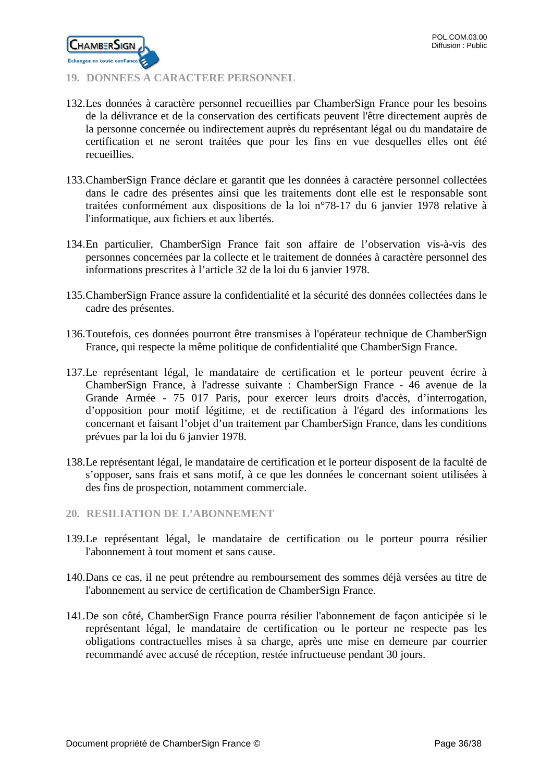

# <span id="page-35-0"></span>**19. DONNEES A CARACTERE PERSONNEL**

- 132.Les données à caractère personnel recueillies par ChamberSign France pour les besoins de la délivrance et de la conservation des certificats peuvent l'être directement auprès de la personne concernée ou indirectement auprès du représentant légal ou du mandataire de certification et ne seront traitées que pour les fins en vue desquelles elles ont été recueillies.
- 133.ChamberSign France déclare et garantit que les données à caractère personnel collectées dans le cadre des présentes ainsi que les traitements dont elle est le responsable sont traitées conformément aux dispositions de la loi n°78-17 du 6 janvier 1978 relative à l'informatique, aux fichiers et aux libertés.
- 134.En particulier, ChamberSign France fait son affaire de l'observation vis-à-vis des personnes concernées par la collecte et le traitement de données à caractère personnel des informations prescrites à l'article 32 de la loi du 6 janvier 1978.
- 135.ChamberSign France assure la confidentialité et la sécurité des données collectées dans le cadre des présentes.
- 136.Toutefois, ces données pourront être transmises à l'opérateur technique de ChamberSign France, qui respecte la même politique de confidentialité que ChamberSign France.
- 137.Le représentant légal, le mandataire de certification et le porteur peuvent écrire à ChamberSign France, à l'adresse suivante : ChamberSign France - 46 avenue de la Grande Armée - 75 017 Paris, pour exercer leurs droits d'accès, d'interrogation, d'opposition pour motif légitime, et de rectification à l'égard des informations les concernant et faisant l'objet d'un traitement par ChamberSign France, dans les conditions prévues par la loi du 6 janvier 1978.
- 138.Le représentant légal, le mandataire de certification et le porteur disposent de la faculté de s'opposer, sans frais et sans motif, à ce que les données le concernant soient utilisées à des fins de prospection, notamment commerciale.
- <span id="page-35-1"></span>**20. RESILIATION DE L'ABONNEMENT**
- 139.Le représentant légal, le mandataire de certification ou le porteur pourra résilier l'abonnement à tout moment et sans cause.
- 140.Dans ce cas, il ne peut prétendre au remboursement des sommes déjà versées au titre de l'abonnement au service de certification de ChamberSign France.
- 141.De son côté, ChamberSign France pourra résilier l'abonnement de façon anticipée si le représentant légal, le mandataire de certification ou le porteur ne respecte pas les obligations contractuelles mises à sa charge, après une mise en demeure par courrier recommandé avec accusé de réception, restée infructueuse pendant 30 jours.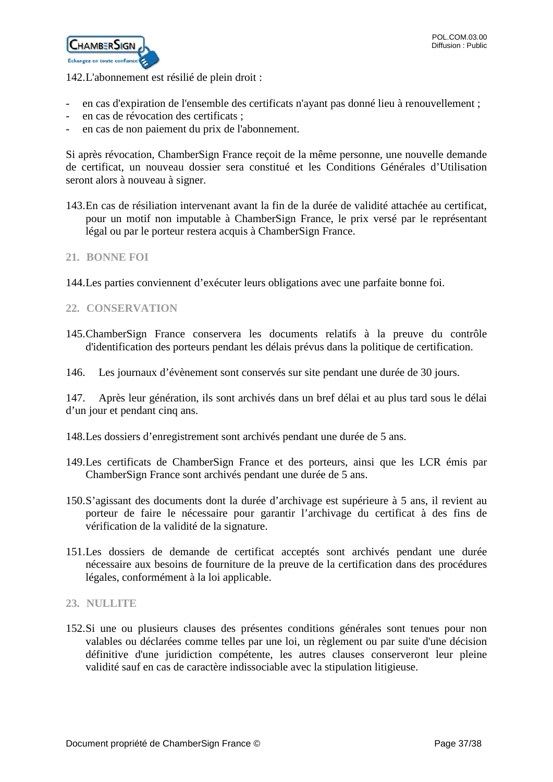

142.L'abonnement est résilié de plein droit :

- en cas d'expiration de l'ensemble des certificats n'ayant pas donné lieu à renouvellement ;
- en cas de révocation des certificats ;
- en cas de non paiement du prix de l'abonnement.

Si après révocation, ChamberSign France reçoit de la même personne, une nouvelle demande de certificat, un nouveau dossier sera constitué et les Conditions Générales d'Utilisation seront alors à nouveau à signer.

- 143.En cas de résiliation intervenant avant la fin de la durée de validité attachée au certificat, pour un motif non imputable à ChamberSign France, le prix versé par le représentant légal ou par le porteur restera acquis à ChamberSign France.
- <span id="page-36-0"></span>**21. BONNE FOI**
- 144.Les parties conviennent d'exécuter leurs obligations avec une parfaite bonne foi.
- <span id="page-36-1"></span>**22. CONSERVATION**
- 145.ChamberSign France conservera les documents relatifs à la preuve du contrôle d'identification des porteurs pendant les délais prévus dans la politique de certification.
- 146. Les journaux d'évènement sont conservés sur site pendant une durée de 30 jours.

147. Après leur génération, ils sont archivés dans un bref délai et au plus tard sous le délai d'un jour et pendant cinq ans.

- 148.Les dossiers d'enregistrement sont archivés pendant une durée de 5 ans.
- 149.Les certificats de ChamberSign France et des porteurs, ainsi que les LCR émis par ChamberSign France sont archivés pendant une durée de 5 ans.
- 150.S'agissant des documents dont la durée d'archivage est supérieure à 5 ans, il revient au porteur de faire le nécessaire pour garantir l'archivage du certificat à des fins de vérification de la validité de la signature.
- 151.Les dossiers de demande de certificat acceptés sont archivés pendant une durée nécessaire aux besoins de fourniture de la preuve de la certification dans des procédures légales, conformément à la loi applicable.

### <span id="page-36-2"></span>**23. NULLITE**

152.Si une ou plusieurs clauses des présentes conditions générales sont tenues pour non valables ou déclarées comme telles par une loi, un règlement ou par suite d'une décision définitive d'une juridiction compétente, les autres clauses conserveront leur pleine validité sauf en cas de caractère indissociable avec la stipulation litigieuse.